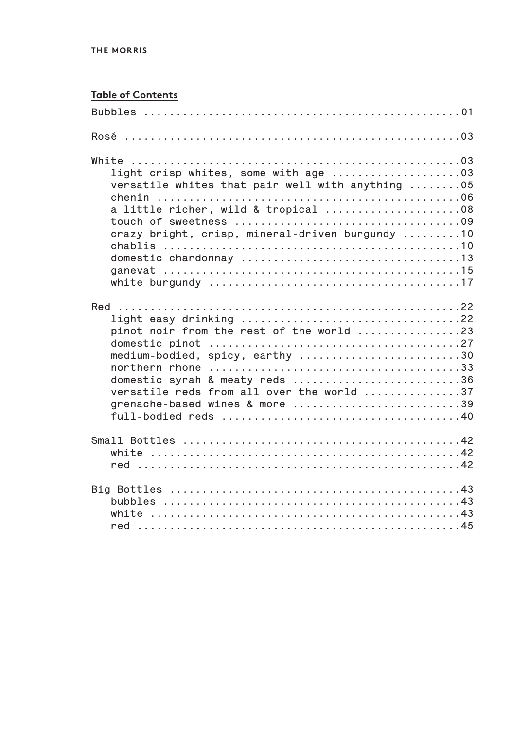## **Table of Contents**

| versatile whites that pair well with anything 05<br>a little richer, wild & tropical 08<br>crazy bright, crisp, mineral-driven burgundy 10<br>white burgundy $\dots\dots\dots\dots\dots\dots\dots\dots\dots\dots\dots\dots\dots$                                                                       |
|--------------------------------------------------------------------------------------------------------------------------------------------------------------------------------------------------------------------------------------------------------------------------------------------------------|
| light easy drinking $\ldots \ldots \ldots \ldots \ldots \ldots \ldots \ldots \ldots \ldots \ldots$ .22<br>pinot noir from the rest of the world 23<br>medium-bodied, spicy, earthy 30<br>domestic syrah & meaty reds 36<br>versatile reds from all over the world 37<br>grenache-based wines & more 39 |
|                                                                                                                                                                                                                                                                                                        |
|                                                                                                                                                                                                                                                                                                        |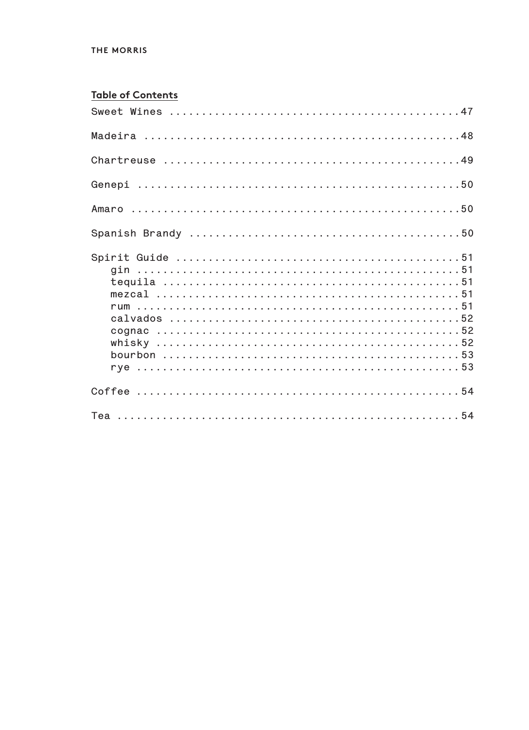#### THE MORRIS

#### **Table of Contents**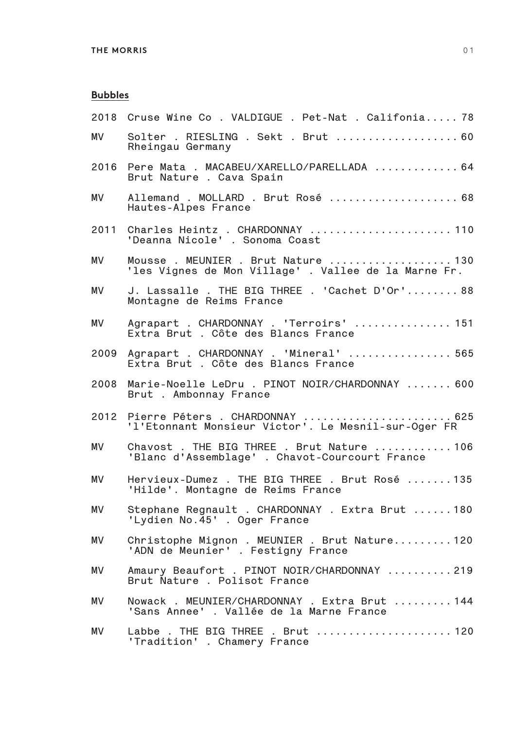## **Bubbles**

| 2018 | Cruse Wine Co . VALDIGUE . Pet-Nat . Califonia 78                                           |
|------|---------------------------------------------------------------------------------------------|
| MV   | Solter . RIESLING . Sekt . Brut  60<br>Rheingau Germany                                     |
| 2016 | Pere Mata . MACABEU/XARELLO/PARELLADA  64<br>Brut Nature . Cava Spain                       |
| MV.  | Allemand . MOLLARD . Brut Rosé  68<br>Hautes-Alpes France                                   |
| 2011 | Charles Heintz . CHARDONNAY  110<br>'Deanna Nicole' . Sonoma Coast                          |
| MV.  | Mousse. MEUNIER. Brut Nature 130<br>'les Vignes de Mon Village'. Vallee de la Marne Fr.     |
| MV.  | J. Lassalle . THE BIG THREE . 'Cachet D'Or' 88<br>Montagne de Reims France                  |
| MV.  | Agrapart . CHARDONNAY . 'Terroirs'  151<br>Extra Brut . Côte des Blancs France              |
| 2009 | Agrapart . CHARDONNAY . 'Mineral'  565<br>Extra Brut . Côte des Blancs France               |
| 2008 | Marie-Noelle LeDru . PINOT NOIR/CHARDONNAY  600<br>Brut . Ambonnay France                   |
| 2012 | Pierre Péters . CHARDONNAY  625<br>'l'Etonnant Monsieur Victor'. Le Mesnil-sur-Oger FR      |
| MV   | Chavost . THE BIG THREE . Brut Nature 106<br>'Blanc d'Assemblage' . Chavot-Courcourt France |
| MV.  | Hervieux-Dumez. THE BIG THREE. Brut Rosé135<br>'Hilde'. Montagne de Reims France            |
| MV   | Stephane Regnault . CHARDONNAY . Extra Brut  180<br>'Lydien No.45' . Oger France            |
| ΜV   | Christophe Mignon . MEUNIER . Brut Nature 120<br>'ADN de Meunier' . Festigny France         |
| ΜV   | Amaury Beaufort . PINOT NOIR/CHARDONNAY 219<br>Brut Nature . Polisot France                 |
| MV   | Nowack . MEUNIER/CHARDONNAY . Extra Brut 144<br>'Sans Annee'. Vallée de la Marne France     |
| MV   | Labbe. THE BIG THREE. Brut 120<br>'Tradition' . Chamery France                              |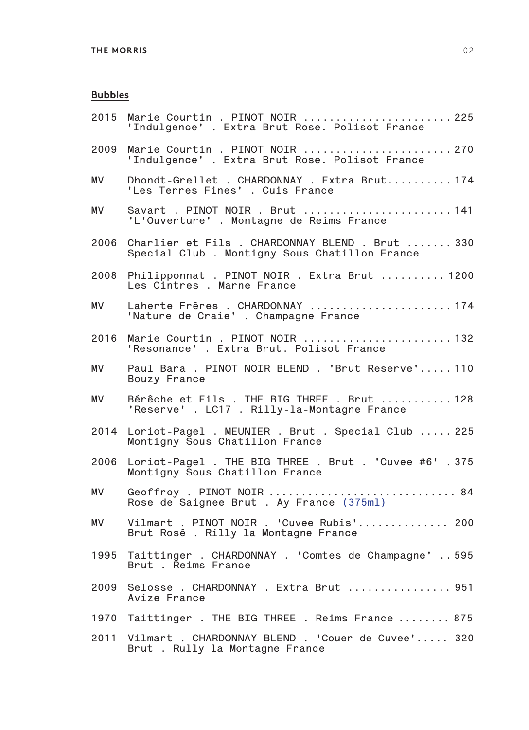## **Bubbles**

| 2015      | Marie Courtin . PINOT NOIR  225<br>'Indulgence' . Extra Brut Rose. Polisot France               |
|-----------|-------------------------------------------------------------------------------------------------|
| 2009      | Marie Courtin . PINOT NOIR  270<br>'Indulgence' . Extra Brut Rose. Polisot France               |
| MV.       | Dhondt-Grellet . CHARDONNAY . Extra Brut 174<br>'Les Terres Fines' . Cuis France                |
| MV        | Savart . PINOT NOIR . Brut  141<br>'L'Ouverture' . Montagne de Reims France                     |
| 2006      | Charlier et Fils . CHARDONNAY BLEND . Brut  330<br>Special Club. Montigny Sous Chatillon France |
| 2008      | Philipponnat . PINOT NOIR . Extra Brut  1200<br>Les Cintres . Marne France                      |
| MV.       | Laherte Frères . CHARDONNAY 174<br>'Nature de Craie' . Champagne France                         |
| 2016      | Marie Courtin . PINOT NOIR  132<br>'Resonance' . Extra Brut. Polisot France                     |
| MV.       | Paul Bara. PINOT NOIR BLEND. 'Brut Reserve' 110<br>Bouzy France                                 |
| МV        | Bérêche et Fils . THE BIG THREE . Brut  128<br>'Reserve' . LC17 . Rilly-la-Montagne France      |
|           | 2014 Loriot-Pagel . MEUNIER . Brut . Special Club  225<br>Montigny Sous Chatillon France        |
| 2006      | Loriot-Pagel . THE BIG THREE . Brut . 'Cuvee #6' . 375<br>Montigny Sous Chatillon France        |
| <b>MV</b> | Geoffroy . PINOT NOIR  84<br>Rose de Saignee Brut . Ay France (375ml)                           |
| МV        | Vilmart . PINOT NOIR . 'Cuvee Rubis' 200<br>Brut Rosé. Rilly la Montagne France                 |
| 1995      | Taittinger . CHARDONNAY . 'Comtes de Champagne'  595<br>Brut . Řeims France                     |
| 2009      | Selosse. CHARDONNAY. Extra Brut  951<br>Avize France                                            |
|           | 1970 Taittinger . THE BIG THREE . Reims France  875                                             |
| 2011      | Vilmart . CHARDONNAY BLEND . 'Couer de Cuvee' 320<br>Brut . Rully la Montagne France            |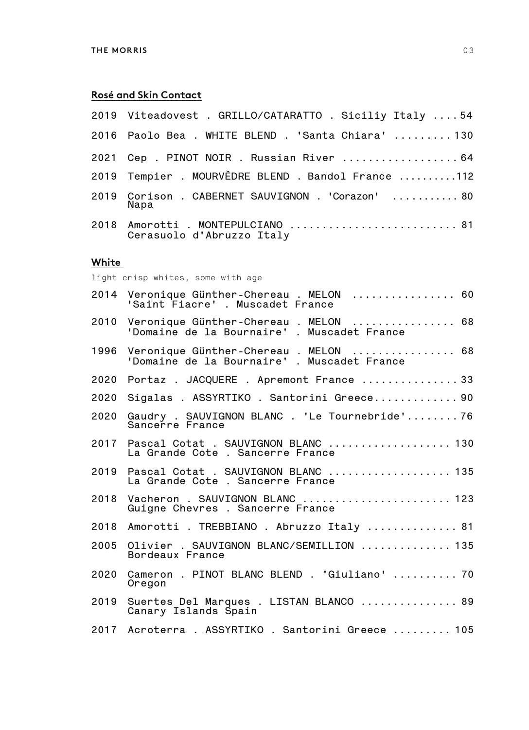## **Rosé and Skin Contact**

| White |                                                                |
|-------|----------------------------------------------------------------|
|       | 2018 Amorotti . MONTEPULCIANO  81<br>Cerasuolo d'Abruzzo Italy |
|       | 2019 Corison . CABERNET SAUVIGNON . 'Corazon'  80<br>Napa      |
|       | 2019 Tempier . MOURVÈDRE BLEND . Bandol France 112             |
|       | 2021 Cep . PINOT NOIR . Russian River  64                      |
|       | 2016  Paolo Bea . WHITE BLEND . 'Santa Chiara' 130             |
|       | 2019  Viteadovest . GRILLO/CATARATTO . Siciliy Italy 54        |

light crisp whites, some with age

| 2014 | Veronique Günther-Chereau. MELON  60<br>'Saint Fiacre' . Muscadet France            |
|------|-------------------------------------------------------------------------------------|
| 2010 | Veronique Günther-Chereau . MELON  68<br>'Domaine de la Bournaire'. Muscadet France |
| 1996 | Veronique Günther-Chereau . MELON  68<br>'Domaine de la Bournaire'. Muscadet France |
| 2020 | Portaz . JACQUERE . Apremont France  33                                             |
| 2020 | Sigalas . ASSYRTIKO . Santorini Greece 90                                           |
| 2020 | Gaudry . SAUVIGNON BLANC . 'Le Tournebride' 76<br>Sancerre France                   |
| 2017 | Pascal Cotat . SAUVIGNON BLANC  130<br>La Grande Cote . Sancerre France             |
| 2019 | Pascal Cotat . SAUVIGNON BLANC  135<br>La Grande Cote . Sancerre France             |
| 2018 | Vacheron . SAUVIGNON BLANC  123<br>Guigne Chevres . Sancerre France                 |
| 2018 | Amorotti . TREBBIANO . Abruzzo Italy  81                                            |
| 2005 | Olivier . SAUVIGNON BLANC/SEMILLION  135<br>Bordeaux France                         |
| 2020 | Cameron . PINOT BLANC BLEND . 'Giuliano'  70<br>Oregon                              |
| 2019 | Suertes Del Marques . LISTAN BLANCO  89<br>Canary Islands Spain                     |
|      | 2017 Acroterra . ASSYRTIKO . Santorini Greece  105                                  |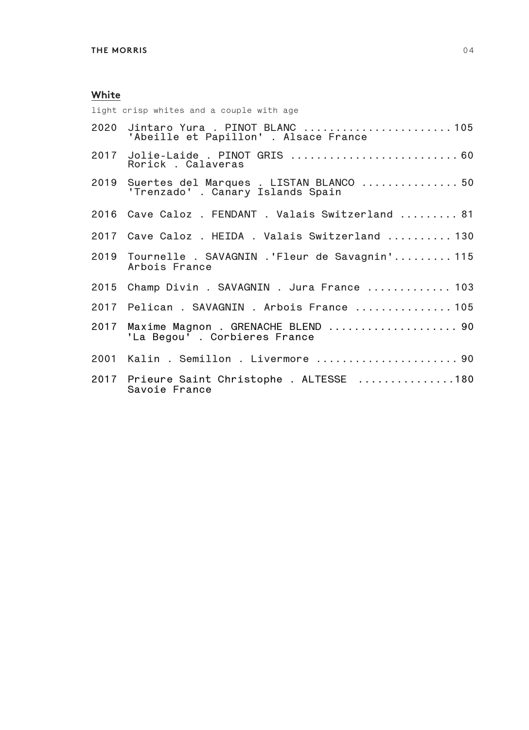| light crisp whites and a couple with age                                          |
|-----------------------------------------------------------------------------------|
| 2020 Jintaro Yura . PINOT BLANC 105<br>'Abeille et Papillon' . Alsace France      |
| 2017 Jolie-Laide . PINOT GRIS  60<br>Rorick . Calaveras                           |
| 2019 Suertes del Marques . LISTAN BLANCO  50<br>'Trenzado' . Canary Islands Spain |
| 2016 Cave Caloz . FENDANT . Valais Switzerland  81                                |
| 2017 Cave Caloz . HEIDA . Valais Switzerland  130                                 |
| 2019 Tournelle . SAVAGNIN .'Fleur de Savagnin' 115<br>Arbois France               |
| 2015 Champ Divin . SAVAGNIN . Jura France  103                                    |
| 2017 Pelican . SAVAGNIN . Arbois France  105                                      |
| 2017 Maxime Magnon . GRENACHE BLEND  90<br>'La Begou'. Corbieres France           |
| 2001 Kalin . Semillon . Livermore  90                                             |
| 2017 Prieure Saint Christophe . ALTESSE 180<br>Savoie France                      |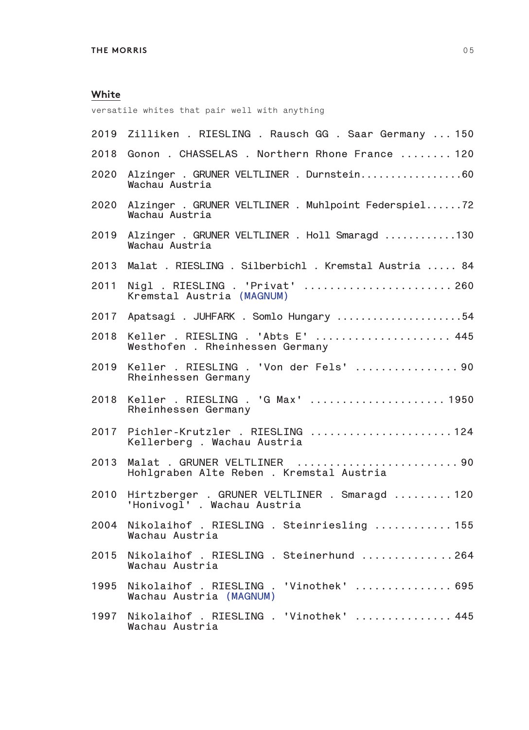versatile whites that pair well with anything

| 2019 | Zilliken. RIESLING. Rausch GG. Saar Germany 150                              |
|------|------------------------------------------------------------------------------|
| 2018 | Gonon . CHASSELAS . Northern Rhone France  120                               |
| 2020 | Alzinger . GRUNER VELTLINER . Durnstein60<br>Wachau Austria                  |
| 2020 | Alzinger . GRUNER VELTLINER . Muhlpoint Federspiel72<br>Wachau Austria       |
| 2019 | Alzinger . GRUNER VELTLINER . Holl Smaragd 130<br>Wachau Austria             |
| 2013 | Malat . RIESLING . Silberbichl . Kremstal Austria  84                        |
| 2011 | Nigl . RIESLING . 'Privat'  260<br>Kremstal Austria (MAGNUM)                 |
| 2017 | Apatsagi . JUHFARK . Somlo Hungary 54                                        |
| 2018 | Keller . RIESLING . 'Abts E'  445<br>Westhofen . Rheinhessen Germany         |
| 2019 | Keller . RIESLING . 'Von der Fels'  90<br>Rheinhessen Germany                |
| 2018 | Keller . RIESLING . 'G Max'  1950<br>Rheinhessen Germany                     |
| 2017 | Pichler-Krutzler . RIESLING 124<br>Kellerberg . Wachau Austria               |
| 2013 | Malat . GRUNER VELTLINER  90<br>Hohlgraben Alte Reben . Kremstal Austria     |
| 2010 | Hirtzberger . GRUNER VELTLINER . Smaragd  120<br>'Honivogl' . Wachau Austria |
| 2004 | Nikolaihof . RIESLING . Steinriesling  155<br>Wachau Austria                 |
| 2015 | Nikolaihof . RIESLING . Steinerhund 264<br>Wachau Austria                    |
| 1995 | Nikolaihof . RIESLING . 'Vinothek'  695<br>Wachau Austria (MAGNUM)           |
| 1997 | Nikolaihof . RIESLING . 'Vinothek'  445<br>Wachau Austria                    |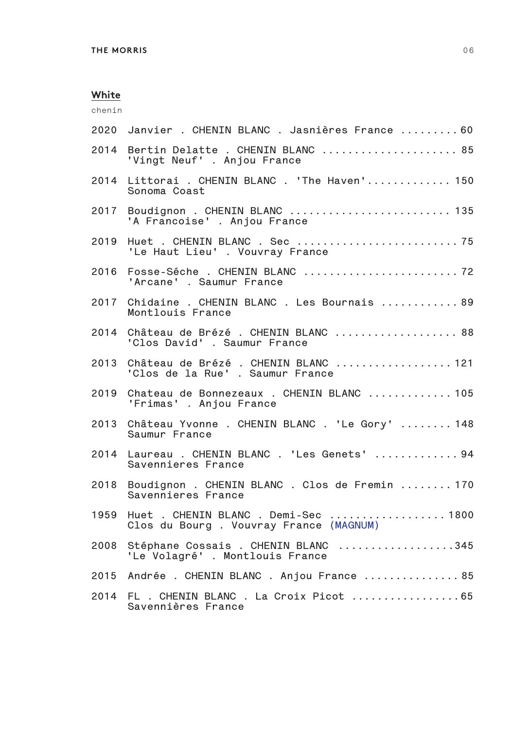chenin

| 2020 | Janvier . CHENIN BLANC . Jasnières France  60                                  |
|------|--------------------------------------------------------------------------------|
| 2014 | Bertin Delatte . CHENIN BLANC  85<br>'Vingt Neuf' . Anjou France               |
| 2014 | Littorai . CHENIN BLANC . 'The Haven' 150<br>Sonoma Coast                      |
| 2017 | Boudignon . CHENIN BLANC  135<br>'A Francoise' . Anjou France                  |
| 2019 | 'Le Haut Lieu' . Vouvray France                                                |
| 2016 | 'Arcane' . Saumur France                                                       |
| 2017 | Chidaine . CHENIN BLANC . Les Bournais  89<br>Montlouis France                 |
| 2014 | Château de Brézé. CHENIN BLANC 88<br>'Clos David' . Saumur France              |
| 2013 | Château de Brézé. CHENIN BLANC 121<br>'Clos de la Rue' . Saumur France         |
| 2019 | Chateau de Bonnezeaux . CHENIN BLANC  105<br>'Frimas' . Anjou France           |
| 2013 | Château Yvonne . CHENIN BLANC . 'Le Gory'  148<br>Saumur France                |
| 2014 | Laureau . CHENIN BLANC . 'Les Genets'  94<br>Savennieres France                |
| 2018 | Boudignon . CHENIN BLANC . Clos de Fremin  170<br>Savennieres France           |
| 1959 | Huet . CHENIN BLANC . Demi-Sec  1800<br>Clos du Bourg. Vouvray France (MAGNUM) |
| 2008 | Stéphane Cossais . CHENIN BLANC 345<br>'Le Volagré'. Montlouis France          |
| 2015 | Andrée . CHENIN BLANC . Anjou France  85                                       |
| 2014 | FL . CHENIN BLANC . La Croix Picot 65<br>Savennières France                    |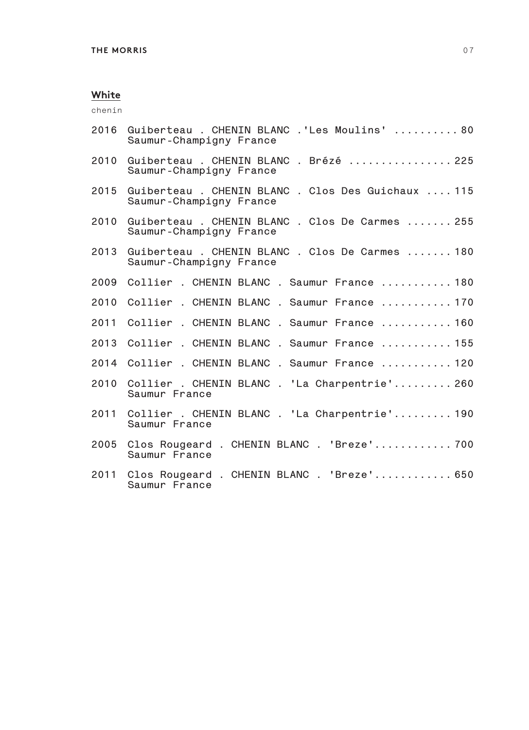chenin

| 2016 | Guiberteau . CHENIN BLANC .'Les Moulins'  80<br>Saumur-Champigny France       |
|------|-------------------------------------------------------------------------------|
| 2010 | Guiberteau . CHENIN BLANC . Brézé  225<br>Saumur-Champigny France             |
| 2015 | Guiberteau . CHENIN BLANC . Clos Des Guichaux  115<br>Saumur-Champigny France |
| 2010 | Guiberteau . CHENIN BLANC . Clos De Carmes  255<br>Saumur-Champigny France    |
| 2013 | Guiberteau . CHENIN BLANC . Clos De Carmes  180<br>Saumur-Champigny France    |
| 2009 | Collier . CHENIN BLANC . Saumur France  180                                   |
| 2010 | Collier . CHENIN BLANC . Saumur France  170                                   |
| 2011 | Collier . CHENIN BLANC . Saumur France  160                                   |
| 2013 | Collier . CHENIN BLANC . Saumur France  155                                   |
| 2014 | Collier . CHENIN BLANC . Saumur France  120                                   |
| 2010 | Collier . CHENIN BLANC . 'La Charpentrie' 260<br>Saumur France                |
| 2011 | Collier . CHENIN BLANC . 'La Charpentrie' 190<br>Saumur France                |
| 2005 | Clos Rougeard . CHENIN BLANC . 'Breze' 700<br>Saumur France                   |
| 2011 | Clos Rougeard . CHENIN BLANC . 'Breze' 650<br>Saumur France                   |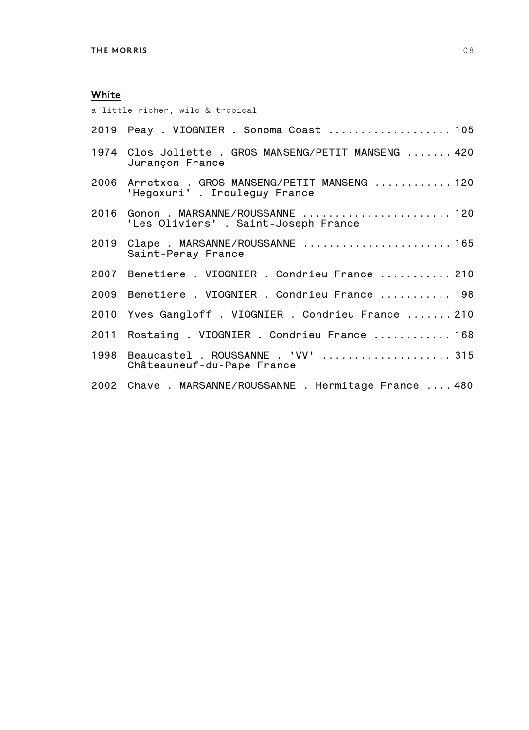a little richer, wild & tropical

| 1974 Clos Joliette . GROS MANSENG/PETIT MANSENG  420<br>Jurançon France          |
|----------------------------------------------------------------------------------|
| 2006 Arretxea . GROS MANSENG/PETIT MANSENG  120<br>'Hegoxuri' . Irouleguy France |
| 2016 Gonon . MARSANNE/ROUSSANNE  120<br>'Les Oliviers' . Saint-Joseph France     |
| 2019 Clape . MARSANNE/ROUSSANNE  165<br>Saint-Peray France                       |
| 2007 Benetiere . VIOGNIER . Condrieu France  210                                 |
| 2009 Benetiere . VIOGNIER . Condrieu France  198                                 |
| 2010 Yves Gangloff . VIOGNIER . Condrieu France  210                             |
| 2011 Rostaing . VIOGNIER . Condrieu France  168                                  |
| 1998  Beaucastel . ROUSSANNE . 'VV'  315<br>Châteauneuf-du-Pape France           |
| 2002 Chave . MARSANNE/ROUSSANNE . Hermitage France  480                          |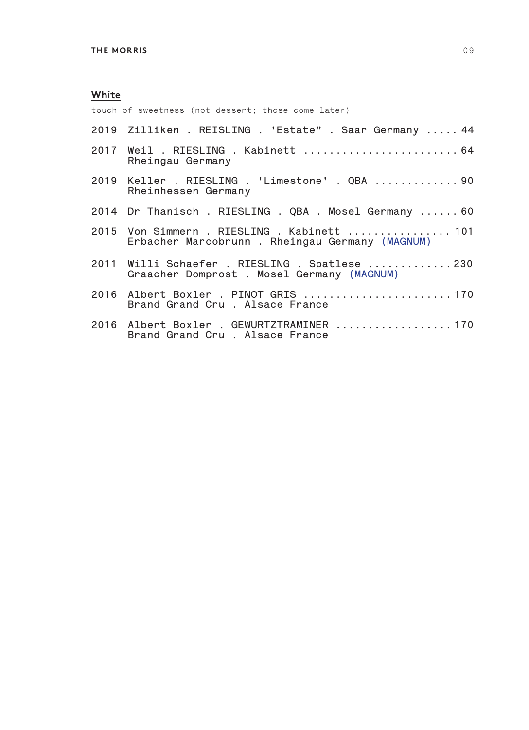touch of sweetness (not dessert; those come later)

**Brand Grand Cru . Alsace France**

| 2019 Zilliken . REISLING . 'Estate" . Saar Germany  44                                        |
|-----------------------------------------------------------------------------------------------|
| 2017 Weil . RIESLING . Kabinett  64<br>Rheingau Germany                                       |
| 2019 Keller . RIESLING . 'Limestone' . QBA  90<br>Rheinhessen Germany                         |
| 2014 Dr Thanisch . RIESLING . QBA . Mosel Germany  60                                         |
| 2015 Von Simmern . RIESLING . Kabinett  101<br>Erbacher Marcobrunn. Rheingau Germany (MAGNUM) |
| 2011 Willi Schaefer . RIESLING . Spatlese 230<br>Graacher Domprost . Mosel Germany (MAGNUM)   |
| 2016 Albert Boxler . PINOT GRIS 170<br>Brand Grand Cru, Alsace France                         |
| 2016 Albert Boxler . GEWURTZTRAMINER 170                                                      |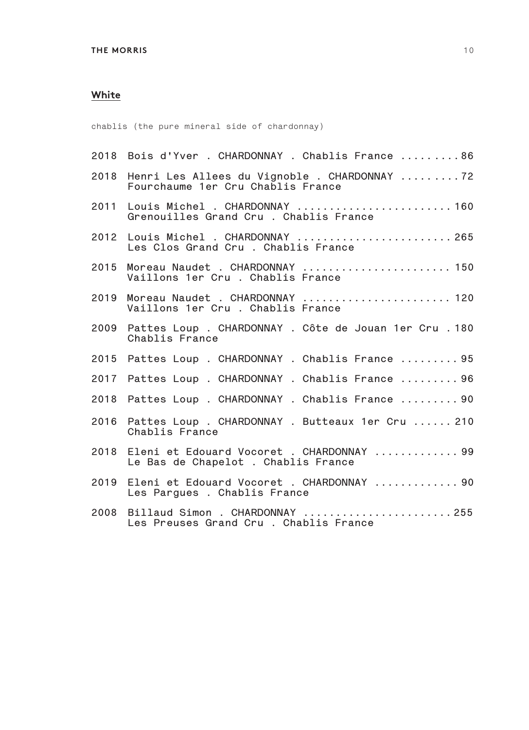chablis (the pure mineral side of chardonnay)

|      | 2018 Bois d'Yver . CHARDONNAY . Chablis France 86                                      |
|------|----------------------------------------------------------------------------------------|
|      | 2018 Henri Les Allees du Vignoble . CHARDONNAY 72<br>Fourchaume 1er Cru Chablis France |
|      | 2011 Louis Michel . CHARDONNAY  160<br>Grenouilles Grand Cru . Chablis France          |
|      | 2012 Louis Michel . CHARDONNAY  265<br>Les Clos Grand Cru . Chablis France             |
|      | 2015 Moreau Naudet . CHARDONNAY  150<br>Vaillons 1er Cru . Chablis France              |
| 2019 | Moreau Naudet . CHARDONNAY  120<br>Vaillons 1er Cru . Chablis France                   |
| 2009 | Pattes Loup. CHARDONNAY. Côte de Jouan 1er Cru. 180<br>Chablis France                  |
| 2015 | Pattes Loup . CHARDONNAY . Chablis France  95                                          |
| 2017 | Pattes Loup . CHARDONNAY . Chablis France  96                                          |
| 2018 | Pattes Loup . CHARDONNAY . Chablis France  90                                          |
| 2016 | Pattes Loup . CHARDONNAY . Butteaux 1er Cru  210<br>Chablis France                     |
| 2018 | Eleni et Edouard Vocoret . CHARDONNAY  99<br>Le Bas de Chapelot . Chablis France       |
| 2019 | Eleni et Edouard Vocoret . CHARDONNAY  90<br>Les Pargues. Chablis France               |
| 2008 | Billaud Simon . CHARDONNAY 255<br>Les Preuses Grand Cru. Chablis France                |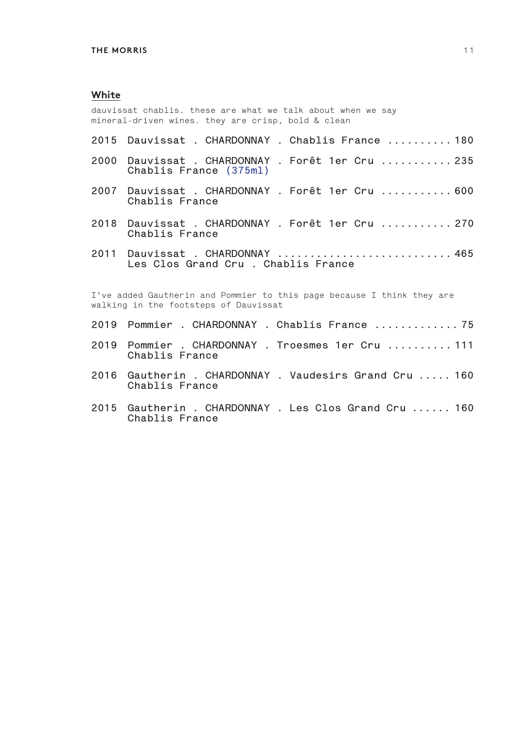dauvissat chablis. these are what we talk about when we say mineral-driven wines. they are crisp, bold & clean

- **2015 Dauvissat . CHARDONNAY . Chablis France .......... 180**
- **2000 Dauvissat . CHARDONNAY . Forêt 1er Cru ........... 235 Chablis France (375ml)**
- **2007 Dauvissat . CHARDONNAY . Forêt 1er Cru ........... 600 Chablis France**
- **2018 Dauvissat . CHARDONNAY . Forêt 1er Cru ........... 270 Chablis France**
- **2011 Dauvissat . CHARDONNAY ........................... 465 Les Clos Grand Cru . Chablis France**

I've added Gautherin and Pommier to this page because I think they are walking in the footsteps of Dauvissat

- **2019 Pommier . CHARDONNAY . Chablis France ............. 75**
- **2019 Pommier . CHARDONNAY . Troesmes 1er Cru .......... 111 Chablis France**
- **2016 Gautherin . CHARDONNAY . Vaudesirs Grand Cru ..... 160 Chablis France**
- **2015 Gautherin . CHARDONNAY . Les Clos Grand Cru ...... 160 Chablis France**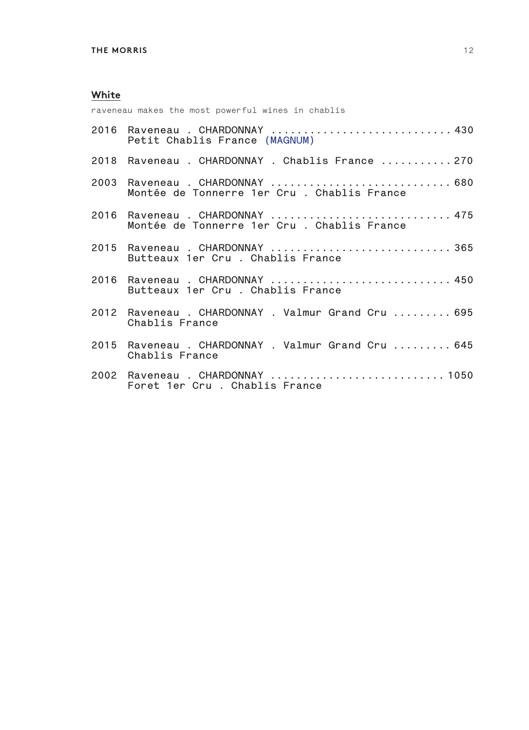raveneau makes the most powerful wines in chablis

|      | 2016 Raveneau . CHARDONNAY  430<br>Petit Chablis France (MAGNUM)               |
|------|--------------------------------------------------------------------------------|
| 2018 | Raveneau . CHARDONNAY . Chablis France  270                                    |
| 2003 | Raveneau . CHARDONNAY  680<br>Montée de Tonnerre 1er Cru . Chablis France      |
|      | 2016 Raveneau . CHARDONNAY  475<br>Montée de Tonnerre 1er Cru . Chablis France |
|      | 2015 Raveneau . CHARDONNAY  365<br>Butteaux 1er Cru . Chablis France           |
|      | 2016 Raveneau . CHARDONNAY  450<br>Butteaux 1er Cru . Chablis France           |
|      | 2012 Raveneau . CHARDONNAY . Valmur Grand Cru  695<br>Chablis France           |
|      | 2015 Raveneau . CHARDONNAY . Valmur Grand Cru  645<br>Chablis France           |
|      | 2002 Raveneau . CHARDONNAY  1050<br>Foret 1er Cru . Chablis France             |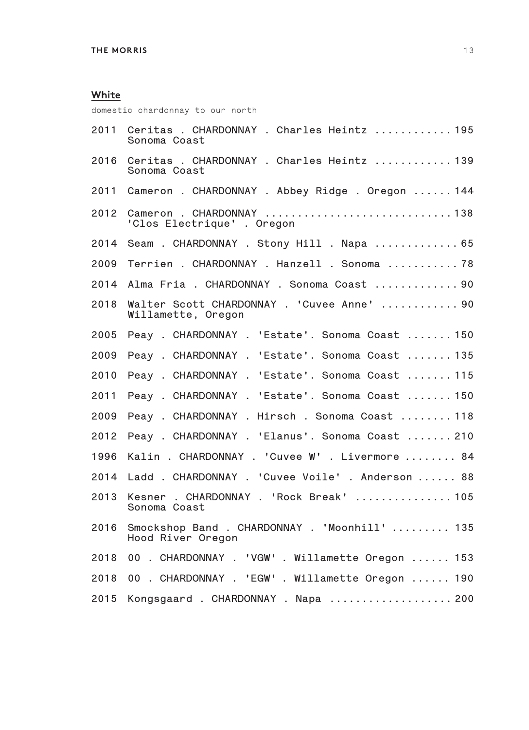domestic chardonnay to our north

| 2011 | Ceritas . CHARDONNAY . Charles Heintz  195<br>Sonoma Coast         |
|------|--------------------------------------------------------------------|
| 2016 | Ceritas . CHARDONNAY . Charles Heintz  139<br>Sonoma Coast         |
| 2011 | Cameron . CHARDONNAY . Abbey Ridge . Oregon  144                   |
| 2012 | Cameron . CHARDONNAY 138<br>'Clos Electrique' . Oregon             |
| 2014 | Seam . CHARDONNAY . Stony Hill . Napa  65                          |
| 2009 | Terrien . CHARDONNAY . Hanzell . Sonoma  78                        |
| 2014 | Alma Fria . CHARDONNAY . Sonoma Coast  90                          |
| 2018 | Walter Scott CHARDONNAY . 'Cuvee Anne'  90<br>Willamette, Oregon   |
| 2005 | Peay . CHARDONNAY . 'Estate'. Sonoma Coast  150                    |
| 2009 | Peay . CHARDONNAY . 'Estate'. Sonoma Coast  135                    |
| 2010 | Peay . CHARDONNAY . 'Estate'. Sonoma Coast  115                    |
| 2011 | Peay . CHARDONNAY . 'Estate'. Sonoma Coast  150                    |
| 2009 | Peay . CHARDONNAY . Hirsch . Sonoma Coast  118                     |
| 2012 | Peay . CHARDONNAY . 'Elanus'. Sonoma Coast  210                    |
| 1996 | Kalin . CHARDONNAY . 'Cuvee W' . Livermore  84                     |
| 2014 | Ladd . CHARDONNAY . 'Cuvee Voile' . Anderson  88                   |
| 2013 | Kesner . CHARDONNAY . 'Rock Break'  105<br>Sonoma Coast            |
| 2016 | Smockshop Band . CHARDONNAY . 'Moonhill'  135<br>Hood River Oregon |
| 2018 | 00 . CHARDONNAY . 'VGW' . Willamette Oregon  153                   |
| 2018 | 00 . CHARDONNAY . 'EGW' . Willamette Oregon  190                   |
| 2015 | Kongsgaard . CHARDONNAY . Napa  200                                |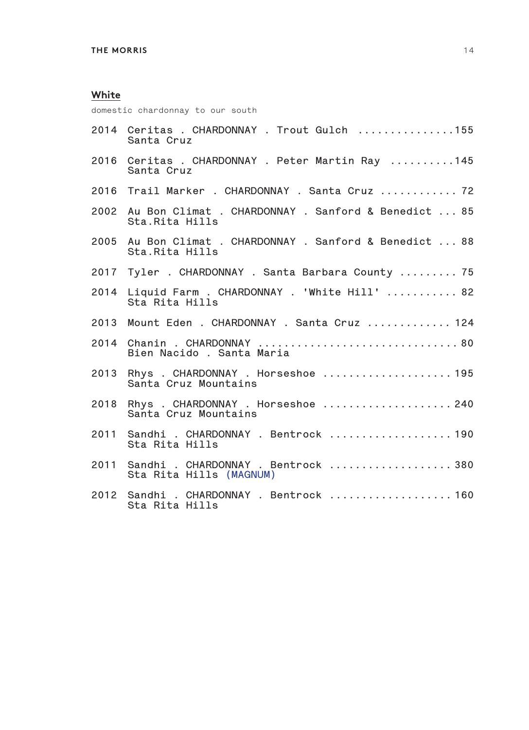domestic chardonnay to our south

|      | 2014 Ceritas . CHARDONNAY . Trout Gulch 155<br>Santa Cruz                  |
|------|----------------------------------------------------------------------------|
|      | 2016 Ceritas . CHARDONNAY . Peter Martin Ray 145<br>Santa Cruz             |
|      | 2016 Trail Marker . CHARDONNAY . Santa Cruz  72                            |
|      | 2002 Au Bon Climat . CHARDONNAY . Sanford & Benedict  85<br>Sta.Rita Hills |
|      | 2005 Au Bon Climat . CHARDONNAY . Sanford & Benedict  88<br>Sta.Rita Hills |
|      | 2017 Tyler . CHARDONNAY . Santa Barbara County  75                         |
|      | 2014 Liquid Farm . CHARDONNAY . 'White Hill'  82<br>Sta Rita Hills         |
| 2013 | Mount Eden . CHARDONNAY . Santa Cruz  124                                  |
|      | Bien Nacido, Santa Maria                                                   |
| 2013 | Rhys. CHARDONNAY. Horseshoe 195<br>Santa Cruz Mountains                    |
|      | 2018 Rhys . CHARDONNAY . Horseshoe  240<br>Santa Cruz Mountains            |
| 2011 | Sandhi . CHARDONNAY . Bentrock  190<br>Sta Rita Hills                      |
| 2011 | Sandhi . CHARDONNAY . Bentrock  380<br>Sta Rita Hills (MAGNUM)             |
|      | 2012 Sandhi . CHARDONNAY . Bentrock  160<br>Sta Rita Hills                 |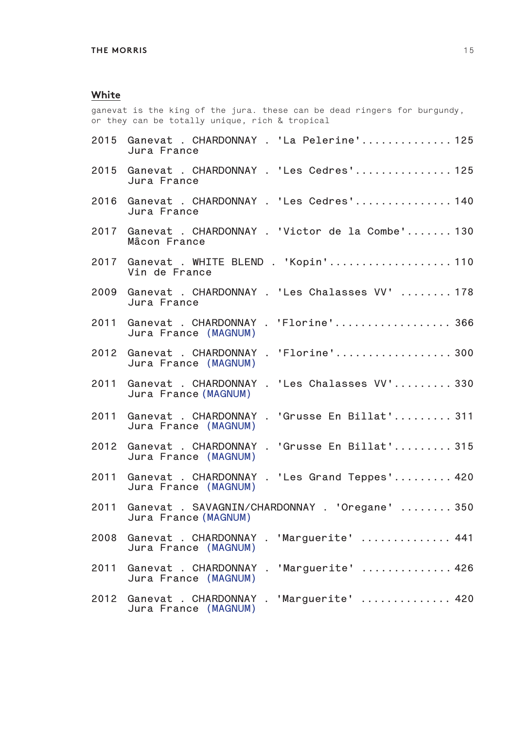ganevat is the king of the jura. these can be dead ringers for burgundy, or they can be totally unique, rich & tropical

| Jura France          | Ganevat . CHARDONNAY . 'La Pelerine' 125        |
|----------------------|-------------------------------------------------|
| Jura France          | Ganevat . CHARDONNAY . 'Les Cedres' 125         |
| Jura France          | Ganevat . CHARDONNAY . 'Les Cedres' 140         |
| Mâcon France         | Ganevat . CHARDONNAY . 'Victor de la Combe' 130 |
| Vin de France        | Ganevat . WHITE BLEND . 'Kopin' 110             |
| Jura France          | Ganevat . CHARDONNAY . 'Les Chalasses VV'  178  |
| Jura France (MAGNUM) | Ganevat . CHARDONNAY . 'Florine' 366            |
| Jura France (MAGNUM) | Ganevat . CHARDONNAY . 'Florine'300             |
| Jura France (MAGNUM) | Ganevat . CHARDONNAY . 'Les Chalasses VV' 330   |
| Jura France (MAGNUM) | Ganevat . CHARDONNAY . 'Grusse En Billat' 311   |
| Jura France (MAGNUM) | Ganevat . CHARDONNAY . 'Grusse En Billat' 315   |
| Jura France (MAGNUM) | Ganevat . CHARDONNAY . 'Les Grand Teppes' 420   |
| Jura France (MAGNUM) | Ganevat . SAVAGNIN/CHARDONNAY . 'Oregane'  350  |
| Jura France (MAGNUM) | Ganevat . CHARDONNAY . 'Marguerite'  441        |
| Jura France (MAGNUM) | Ganevat . CHARDONNAY . 'Marguerite'  426        |
| Jura France (MAGNUM) | Ganevat . CHARDONNAY . 'Marguerite'  420        |
|                      |                                                 |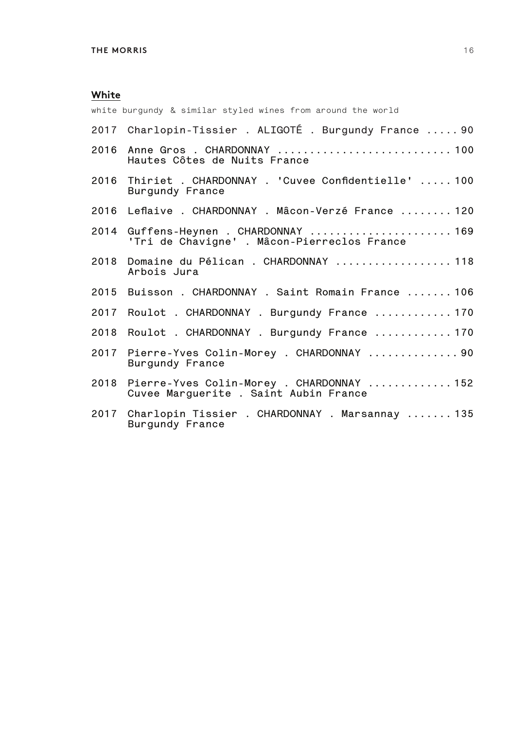white burgundy & similar styled wines from around the world

|      | 2017 Charlopin-Tissier . ALIGOTÉ . Burgundy France  90                              |
|------|-------------------------------------------------------------------------------------|
|      | 2016 Anne Gros . CHARDONNAY  100<br>Hautes Côtes de Nuits France                    |
|      | 2016 Thiriet . CHARDONNAY . 'Cuvee Confidentielle'  100<br>Burgundy France          |
|      | 2016 Leflaive . CHARDONNAY . Mâcon-Verzé France  120                                |
|      | 2014 Guffens-Heynen . CHARDONNAY  169<br>'Tri de Chavigne'. Mâcon-Pierreclos France |
| 2018 | Domaine du Pélican. CHARDONNAY  118<br>Arbois Jura                                  |
|      | 2015 Buisson . CHARDONNAY . Saint Romain France  106                                |
|      | 2017 Roulot . CHARDONNAY . Burgundy France  170                                     |
|      | 2018 Roulot . CHARDONNAY . Burgundy France  170                                     |
|      | 2017 Pierre-Yves Colin-Morey . CHARDONNAY  90<br>Burgundy France                    |
| 2018 | Pierre-Yves Colin-Morey . CHARDONNAY  152<br>Cuvee Marguerite . Saint Aubin France  |
|      | 2017 Charlopin Tissier . CHARDONNAY . Marsannay  135<br>Burgundy France             |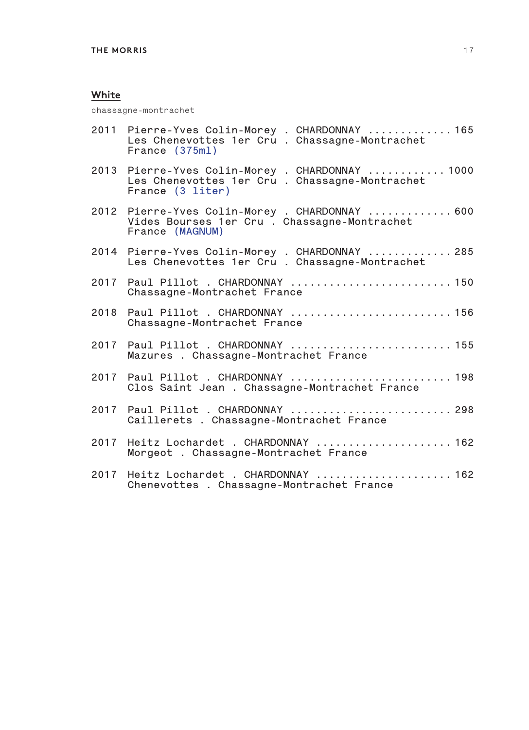chassagne-montrachet

|      | 2011 Pierre-Yves Colin-Morey . CHARDONNAY  165<br>Les Chenevottes 1er Cru. Chassagne-Montrachet<br>France (375ml)    |
|------|----------------------------------------------------------------------------------------------------------------------|
|      | 2013 Pierre-Yves Colin-Morey . CHARDONNAY  1000<br>Les Chenevottes 1er Cru. Chassagne-Montrachet<br>France (3 liter) |
|      | 2012 Pierre-Yves Colin-Morey . CHARDONNAY  600<br>Vides Bourses 1er Cru . Chassagne-Montrachet<br>France (MAGNUM)    |
|      | 2014 Pierre-Yves Colin-Morey . CHARDONNAY  285<br>Les Chenevottes 1er Cru. Chassagne-Montrachet                      |
|      | 2017    Paul Pillot . CHARDONNAY     150<br>Chassagne-Montrachet France                                              |
|      | Chassagne-Montrachet France                                                                                          |
|      | Mazures . Chassagne-Montrachet France                                                                                |
|      | Clos Saint Jean . Chassagne-Montrachet France                                                                        |
|      | 2017  Paul Pillot . CHARDONNAY   298<br>Caillerets . Chassagne-Montrachet France                                     |
| 2017 | Heitz Lochardet . CHARDONNAY  162<br>Morgeot . Chassagne-Montrachet France                                           |
|      | 2017 Heitz Lochardet . CHARDONNAY  162<br>Chenevottes . Chassagne-Montrachet France                                  |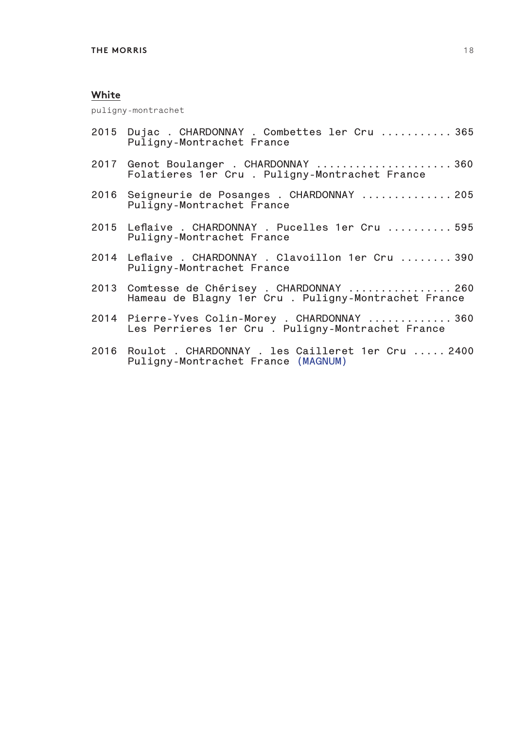puligny-montrachet

- **2015 Dujac . CHARDONNAY . Combettes ler Cru ........... 365 Puligny-Montrachet France**
- **2017 Genot Boulanger . CHARDONNAY ..................... 360 Folatieres 1er Cru . Puligny-Montrachet France**
- **2016 Seigneurie de Posanges . CHARDONNAY .............. 205 Puligny-Montrachet France**
- **2015 Leflaive . CHARDONNAY . Pucelles 1er Cru .......... 595 Puligny-Montrachet France**
- **2014 Leflaive . CHARDONNAY . Clavoillon 1er Cru ........ 390 Puligny-Montrachet France**
- **2013 Comtesse de Chérisey . CHARDONNAY ................ 260 Hameau de Blagny 1er Cru . Puligny-Montrachet France**
- **2014 Pierre-Yves Colin-Morey . CHARDONNAY ............. 360 Les Perrieres 1er Cru . Puligny-Montrachet France**
- **2016 Roulot . CHARDONNAY . les Cailleret 1er Cru ..... 2400 Puligny-Montrachet France (MAGNUM)**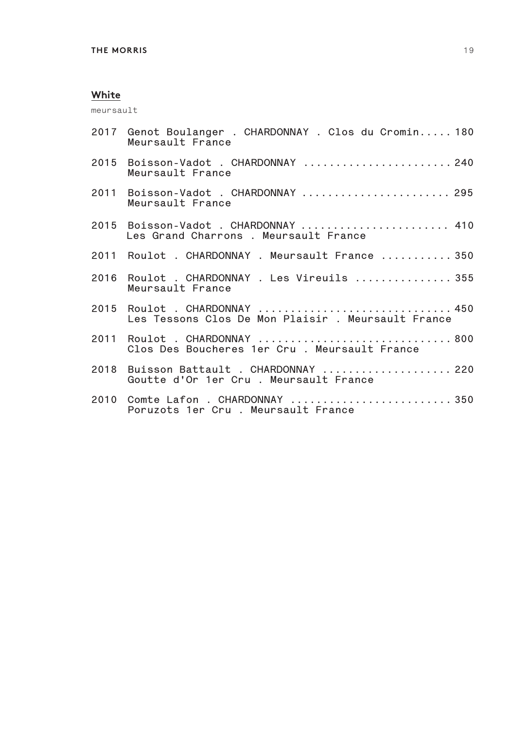meursault

| 2017 Genot Boulanger . CHARDONNAY . Clos du Cromin 180<br>Meursault France          |
|-------------------------------------------------------------------------------------|
| 2015 Boisson-Vadot . CHARDONNAY  240<br>Meursault France                            |
| 2011 Boisson-Vadot . CHARDONNAY  295<br>Meursault France                            |
| 2015 Boisson-Vadot . CHARDONNAY  410<br>Les Grand Charrons . Meursault France       |
| 2011 Roulot . CHARDONNAY . Meursault France  350                                    |
| 2016 Roulot . CHARDONNAY . Les Vireuils  355<br>Meursault France                    |
| 2015 Roulot . CHARDONNAY  450<br>Les Tessons Clos De Mon Plaisir . Meursault France |
| 2011 Roulot . CHARDONNAY  800<br>Clos Des Boucheres 1er Cru, Meursault France       |
| 2018 Buisson Battault . CHARDONNAY  220<br>Goutte d'Or 1er Cru. Meursault France    |
| Poruzots 1er Cru . Meursault France                                                 |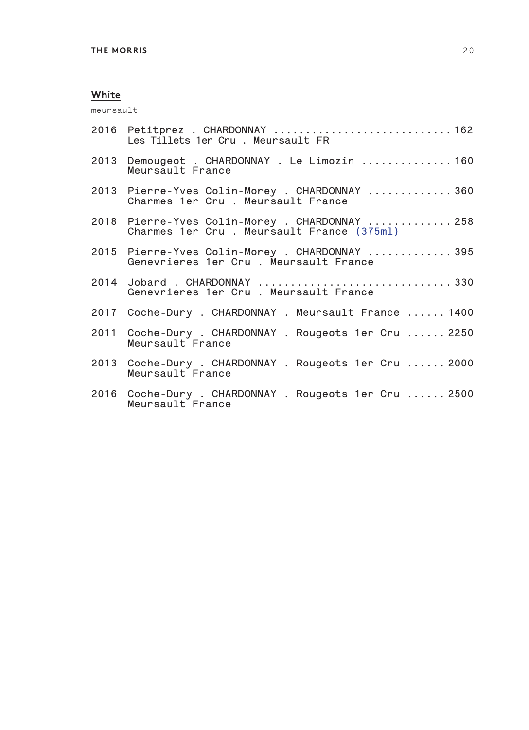meursault

| 2016 Petitprez . CHARDONNAY  162<br>Les Tillets 1er Cru . Meursault FR                      |
|---------------------------------------------------------------------------------------------|
| 2013 Demougeot . CHARDONNAY . Le Limozin  160<br>Meursault France                           |
| 2013 Pierre-Yves Colin-Morey . CHARDONNAY  360<br>Charmes 1er Cru . Meursault France        |
| 2018 Pierre-Yves Colin-Morey . CHARDONNAY  258<br>Charmes 1er Cru. Meursault France (375ml) |
| 2015 Pierre-Yves Colin-Morey . CHARDONNAY  395<br>Genevrieres 1er Cru . Meursault France    |
| 2014 Jobard . CHARDONNAY  330<br>Genevrieres 1er Cru . Meursault France                     |
| 2017 Coche-Dury . CHARDONNAY . Meursault France  1400                                       |
| 2011 Coche-Dury . CHARDONNAY . Rougeots 1er Cru  2250<br>Meursault France                   |
| 2013 Coche-Dury . CHARDONNAY . Rougeots 1er Cru  2000<br>Meursault France                   |
| 2016 Coche-Dury . CHARDONNAY . Rougeots 1er Cru  2500<br>Meursault France                   |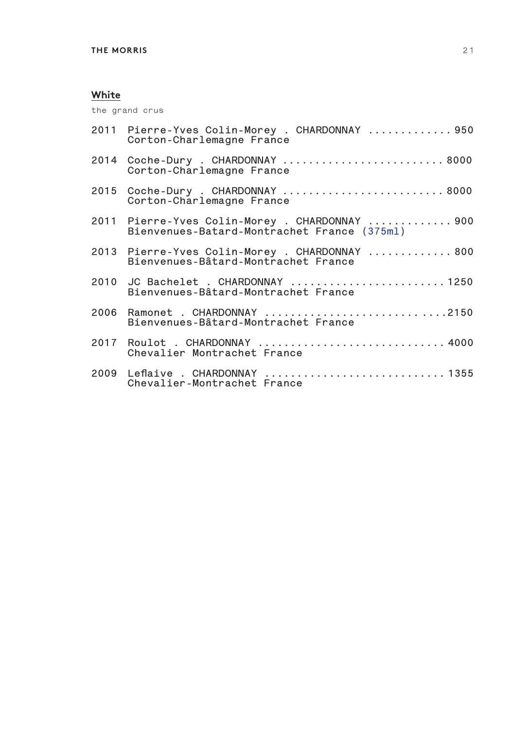the grand crus

| 2011 Pierre-Yves Colin-Morey . CHARDONNAY  950<br>Corton-Charlemagne France                   |
|-----------------------------------------------------------------------------------------------|
| 2014 Coche-Dury . CHARDONNAY  8000<br>Corton-Charlemagne France                               |
| 2015 Coche-Dury . CHARDONNAY  8000<br>Corton-Charlemagne France                               |
| 2011 Pierre-Yves Colin-Morey . CHARDONNAY  900<br>Bienvenues-Batard-Montrachet France (375ml) |
| 2013 Pierre-Yves Colin-Morey . CHARDONNAY  800<br>Bienvenues-Bâtard-Montrachet France         |
| 2010 JC Bachelet . CHARDONNAY 1250<br>Bienvenues-Bâtard-Montrachet France                     |
| 2006 Ramonet . CHARDONNAY 2150<br>Bienvenues-Bâtard-Montrachet France                         |
| 2017 Roulot . CHARDONNAY  4000<br>Chevalier Montrachet France                                 |
| 2009 Leflaive . CHARDONNAY 1355<br>Chevalier-Montrachet France                                |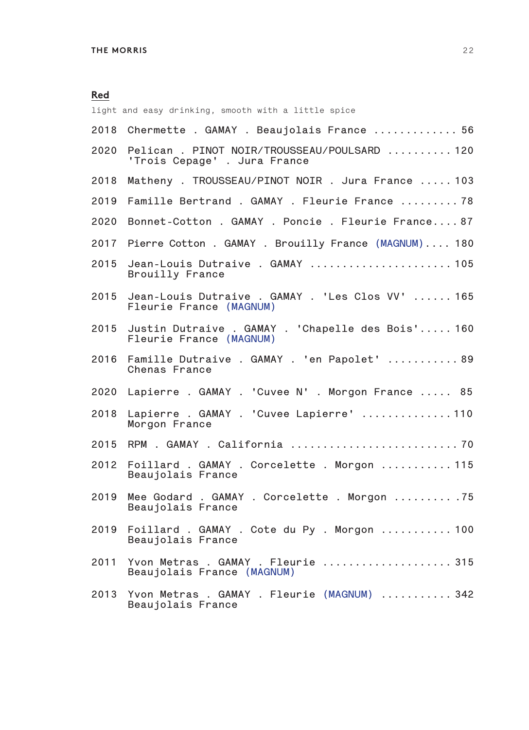light and easy drinking, smooth with a little spice **2018 Chermette . GAMAY . Beaujolais France ............. 56 2020 Pelican . PINOT NOIR/TROUSSEAU/POULSARD .......... 120 'Trois Cepage' . Jura France 2018 Matheny . TROUSSEAU/PINOT NOIR . Jura France ..... 103 2019 Famille Bertrand . GAMAY . Fleurie France ......... 78 2020 Bonnet-Cotton . GAMAY . Poncie . Fleurie France.... 87 2017 Pierre Cotton . GAMAY . Brouilly France (MAGNUM).... 180 2015 Jean-Louis Dutraive . GAMAY ...................... 105 Brouilly France 2015 Jean-Louis Dutraive . GAMAY . 'Les Clos VV' ...... 165 Fleurie France (MAGNUM) 2015 Justin Dutraive . GAMAY . 'Chapelle des Bois'..... 160 Fleurie France (MAGNUM) 2016 Famille Dutraive . GAMAY . 'en Papolet' ........... 89 Chenas France 2020 Lapierre . GAMAY . 'Cuvee N' . Morgon France ..... 85 2018 Lapierre . GAMAY . 'Cuvee Lapierre' .............. 110 Morgon France 2015 RPM . GAMAY . California .......................... 70 2012 Foillard . GAMAY . Corcelette . Morgon ........... 115 Beaujolais France 2019 Mee Godard . GAMAY . Corcelette . Morgon ......... .75 Beaujolais France 2019 Foillard . GAMAY . Cote du Py . Morgon ........... 100 Beaujolais France 2011 Yvon Metras . GAMAY . Fleurie .................... 315 Beaujolais France (MAGNUM) 2013 Yvon Metras . GAMAY . Fleurie (MAGNUM) ........... 342**

**Beaujolais France**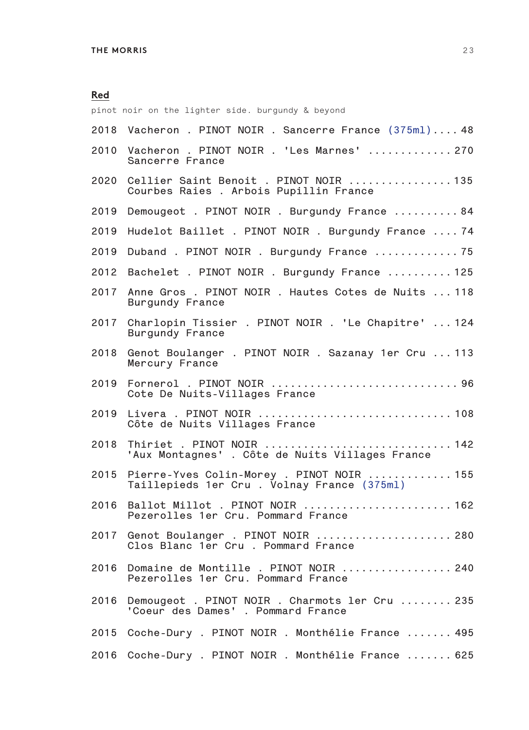pinot noir on the lighter side. burgundy & beyond **2018 Vacheron . PINOT NOIR . Sancerre France (375ml).... 48 2010 Vacheron . PINOT NOIR . 'Les Marnes' ............. 270 Sancerre France 2020 Cellier Saint Benoit . PINOT NOIR ................ 135 Courbes Raies . Arbois Pupillin France 2019 Demougeot . PINOT NOIR . Burgundy France .......... 84 2019 Hudelot Baillet . PINOT NOIR . Burgundy France .... 74 2019 Duband . PINOT NOIR . Burgundy France ............. 75 2012 Bachelet . PINOT NOIR . Burgundy France .......... 125 2017 Anne Gros . PINOT NOIR . Hautes Cotes de Nuits ... 118 Burgundy France 2017 Charlopin Tissier . PINOT NOIR . 'Le Chapitre' ... 124 Burgundy France 2018 Genot Boulanger . PINOT NOIR . Sazanay 1er Cru ... 113 Mercury France 2019 Fornerol . PINOT NOIR ............................. 96 Cote De Nuits-Villages France 2019 Livera . PINOT NOIR .............................. 108 Côte de Nuits Villages France <sup>2018</sup> Thiriet . PINOT NOIR ............................. 142 'Aux Montagnes' . Côte de Nuits Villages France 2015 Pierre-Yves Colin-Morey . PINOT NOIR ............. 155 Taillepieds 1er Cru . Volnay France (375ml) 2016 Ballot Millot . PINOT NOIR ....................... 162 Pezerolles 1er Cru. Pommard France 2017 Genot Boulanger . PINOT NOIR ..................... 280 Clos Blanc 1er Cru . Pommard France 2016 Domaine de Montille . PINOT NOIR ................. 240 Pezerolles 1er Cru. Pommard France 2016 Demougeot . PINOT NOIR . Charmots ler Cru ........ 235 'Coeur des Dames' . Pommard France 2015 Coche-Dury . PINOT NOIR . Monthélie France ....... 495**

**2016 Coche-Dury . PINOT NOIR . Monthélie France ....... 625**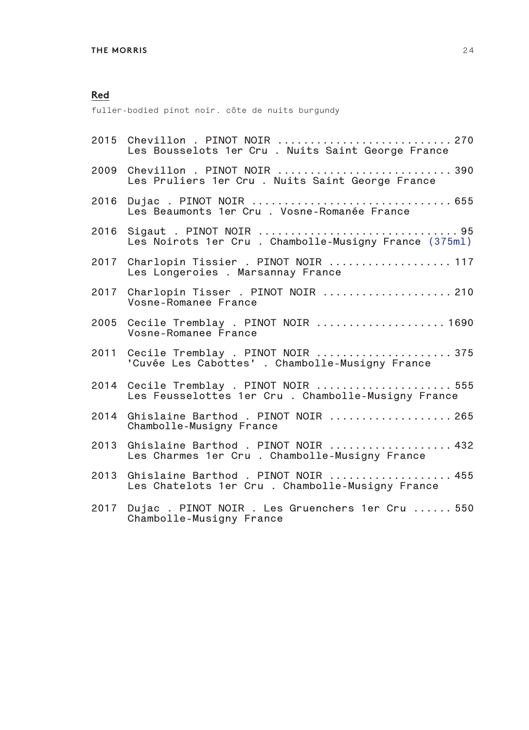fuller-bodied pinot noir. côte de nuits burgundy

|      | 2015 Chevillon . PINOT NOIR  270<br>Les Bousselots 1er Cru . Nuits Saint George France        |
|------|-----------------------------------------------------------------------------------------------|
| 2009 | Chevillon . PINOT NOIR  390<br>Les Pruliers 1er Cru . Nuits Saint George France               |
| 2016 | Les Beaumonts 1er Cru. Vosne-Romanée France                                                   |
| 2016 | Les Noirots 1er Cru . Chambolle-Musigny France (375ml)                                        |
|      | 2017 Charlopin Tissier . PINOT NOIR  117<br>Les Longeroies . Marsannay France                 |
|      | 2017 Charlopin Tisser . PINOT NOIR  210<br>Vosne-Romanee France                               |
|      | 2005 Cecile Tremblay . PINOT NOIR  1690<br>Vosne-Romanee France                               |
|      | 2011 Cecile Tremblay . PINOT NOIR  375<br>'Cuvée Les Cabottes' . Chambolle-Musigny France     |
|      | 2014 Cecile Tremblay . PINOT NOIR  555<br>Les Feusselottes 1er Cru . Chambolle-Musigny France |
| 2014 | Ghislaine Barthod . PINOT NOIR  265<br>Chambolle-Musigny France                               |
| 2013 | Ghislaine Barthod . PINOT NOIR  432<br>Les Charmes 1er Cru. Chambolle-Musigny France          |
| 2013 | Ghislaine Barthod . PINOT NOIR  455<br>Les Chatelots 1er Cru . Chambolle-Musigny France       |
| 2017 | Dujac. PINOT NOIR. Les Gruenchers 1er Cru  550<br>Chambolle-Musigny France                    |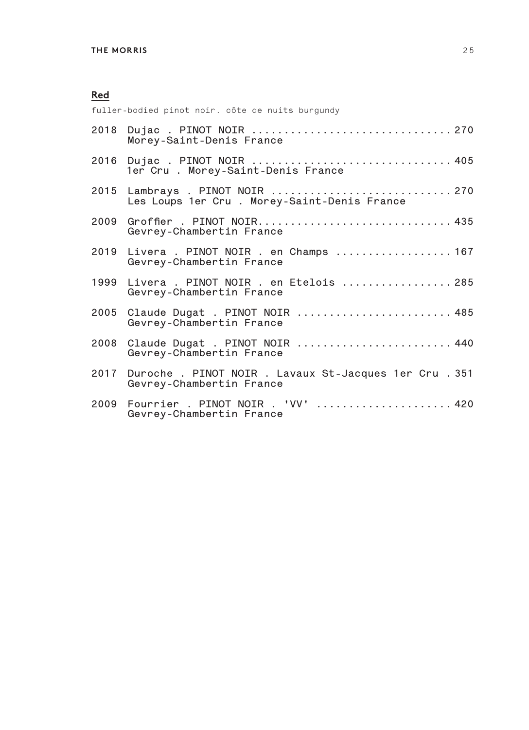fuller-bodied pinot noir. côte de nuits burgundy

|      | 2018 Dujac . PINOT NOIR  270<br>Morey-Saint-Denis France                             |
|------|--------------------------------------------------------------------------------------|
|      | 2016 Dujac . PINOT NOIR  405<br>1er Cru. Morey-Saint-Denis France                    |
|      | Les Loups 1er Cru . Morey-Saint-Denis France                                         |
| 2009 | Groffier . PINOT NOIR 435<br>Gevrey-Chambertin France                                |
|      | 2019 Livera . PINOT NOIR . en Champs  167<br>Gevrey-Chambertin France                |
|      | 1999 Livera . PINOT NOIR . en Etelois  285<br>Gevrey-Chambertin France               |
|      | 2005 Claude Dugat . PINOT NOIR  485<br>Gevrey-Chambertin France                      |
| 2008 | Claude Dugat . PINOT NOIR  440<br>Gevrey-Chambertin France                           |
|      | 2017 Duroche. PINOT NOIR. Lavaux St-Jacques 1er Cru. 351<br>Gevrey-Chambertin France |
|      | 2009 Fourrier . PINOT NOIR . 'VV'  420<br>Gevrey-Chambertin France                   |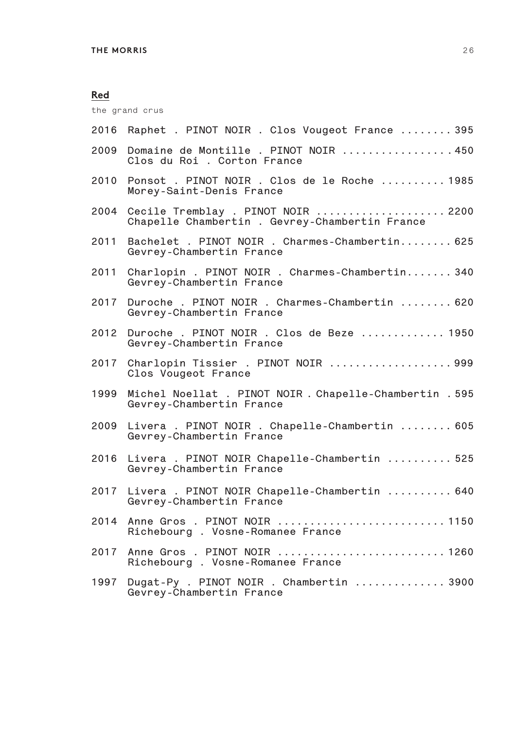the grand crus

| 2016 | Raphet . PINOT NOIR . Clos Vougeot France  395                                       |
|------|--------------------------------------------------------------------------------------|
| 2009 | Domaine de Montille. PINOT NOIR 450<br>Clos du Roi . Corton France                   |
| 2010 | Ponsot . PINOT NOIR . Clos de le Roche  1985<br>Morey-Saint-Denis France             |
| 2004 | Cecile Tremblay . PINOT NOIR  2200<br>Chapelle Chambertin . Gevrey-Chambertin France |
| 2011 | Bachelet . PINOT NOIR . Charmes-Chambertin 625<br>Gevrey-Chambertin France           |
| 2011 | Charlopin . PINOT NOIR . Charmes-Chambertin 340<br>Gevrey-Chambertin France          |
| 2017 | Duroche . PINOT NOIR . Charmes-Chambertin  620<br>Gevrey-Chambertin France           |
| 2012 | Duroche . PINOT NOIR . Clos de Beze  1950<br>Gevrey-Chambertin France                |
| 2017 | Charlopin Tissier . PINOT NOIR 999<br>Clos Vougeot France                            |
| 1999 | Michel Noellat . PINOT NOIR . Chapelle-Chambertin . 595<br>Gevrey-Chambertin France  |
| 2009 | Livera . PINOT NOIR . Chapelle-Chambertin  605<br>Gevrey-Chambertin France           |
| 2016 | Livera . PINOT NOIR Chapelle-Chambertin  525<br>Gevrey-Chambertin France             |
| 2017 | Livera . PINOT NOIR Chapelle-Chambertin  640<br>Gevrey-Chambertin France             |
| 2014 | Anne Gros . PINOT NOIR  1150<br>Richebourg . Vosne-Romanee France                    |
| 2017 | Anne Gros . PINOT NOIR  1260<br>Richebourg . Vosne-Romanee France                    |
| 1997 | Dugat-Py . PINOT NOIR . Chambertin  3900<br>Gevrey-Chambertin France                 |
|      |                                                                                      |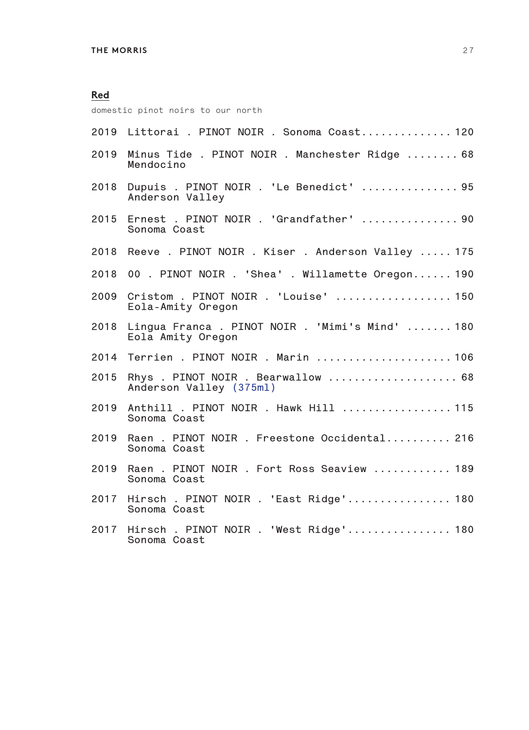domestic pinot noirs to our north

|      | 2019 Littorai . PINOT NOIR . Sonoma Coast 120                      |
|------|--------------------------------------------------------------------|
| 2019 | Minus Tide . PINOT NOIR . Manchester Ridge  68<br>Mendocino        |
| 2018 | Dupuis . PINOT NOIR . 'Le Benedict'  95<br>Anderson Valley         |
| 2015 | Ernest . PINOT NOIR . 'Grandfather'  90<br>Sonoma Coast            |
|      | 2018 Reeve . PINOT NOIR . Kiser . Anderson Valley  175             |
| 2018 | 00. PINOT NOIR. 'Shea'. Willamette Oregon 190                      |
| 2009 | Cristom . PINOT NOIR . 'Louise'  150<br>Eola-Amity Oregon          |
| 2018 | Lingua Franca. PINOT NOIR. 'Mimi's Mind'  180<br>Eola Amity Oregon |
| 2014 | Terrien . PINOT NOIR . Marin  106                                  |
| 2015 | Rhys. PINOT NOIR. Bearwallow  68<br>Anderson Valley (375ml)        |
| 2019 | Anthill . PINOT NOIR . Hawk Hill  115<br>Sonoma Coast              |
| 2019 | Raen . PINOT NOIR . Freestone Occidental 216<br>Sonoma Coast       |
| 2019 | Raen . PINOT NOIR . Fort Ross Seaview  189<br>Sonoma Coast         |
| 2017 | Hirsch. PINOT NOIR. 'East Ridge' 180<br>Sonoma Coast               |
|      | 2017 Hirsch. PINOT NOIR. 'West Ridge' 180<br>Sonoma Coast          |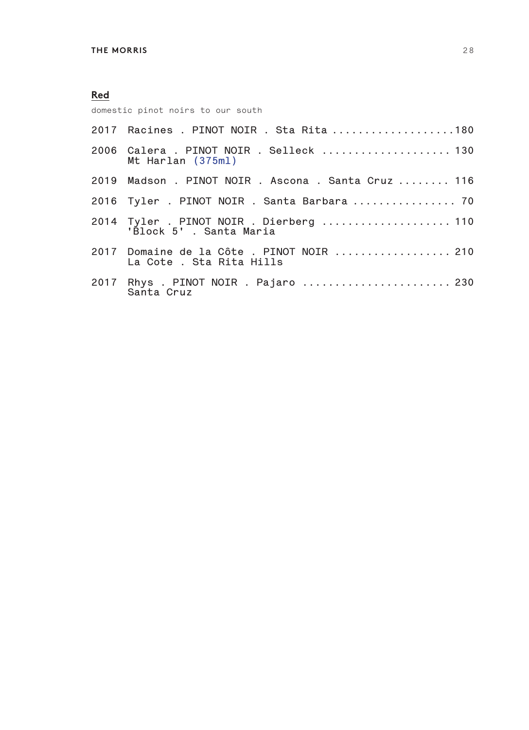domestic pinot noirs to our south

| 2017 Racines . PINOT NOIR . Sta Rita 180                             |
|----------------------------------------------------------------------|
| 2006 Calera . PINOT NOIR . Selleck  130<br>Mt Harlan (375ml)         |
| 2019 Madson . PINOT NOIR . Ascona . Santa Cruz  116                  |
| 2016 Tyler . PINOT NOIR . Santa Barbara  70                          |
| 2014 Tyler . PINOT NOIR . Dierberg  110<br>'Block 5', Santa Maria    |
| 2017 Domaine de la Côte. PINOT NOIR  210<br>La Cote . Sta Rita Hills |
| 2017 Rhys . PINOT NOIR . Pajaro  230<br>Santa Cruz                   |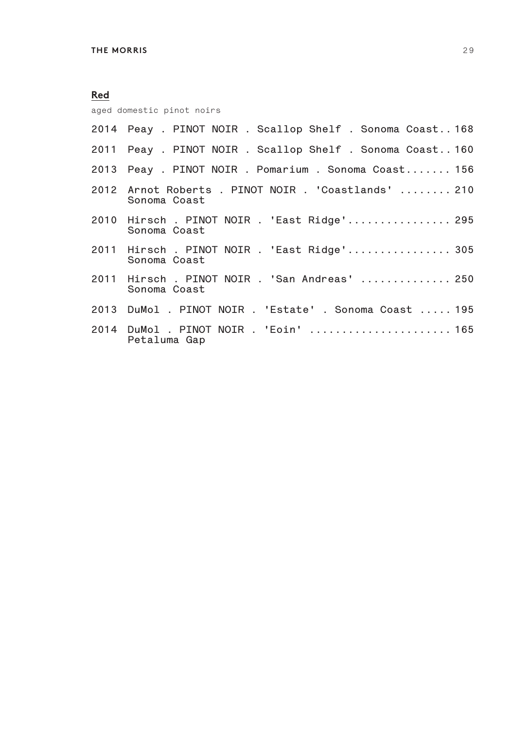| <b>Red</b> |                                                                     |
|------------|---------------------------------------------------------------------|
|            | aged domestic pinot noirs                                           |
|            | 2014 Peay . PINOT NOIR . Scallop Shelf . Sonoma Coast 168           |
|            | 2011 Peay . PINOT NOIR . Scallop Shelf . Sonoma Coast 160           |
|            | 2013 Peay . PINOT NOIR . Pomarium . Sonoma Coast 156                |
|            | 2012 Arnot Roberts . PINOT NOIR . 'Coastlands'  210<br>Sonoma Coast |
|            | 2010 Hirsch. PINOT NOIR. 'East Ridge' 295<br>Sonoma Coast           |
|            | 2011 Hirsch. PINOT NOIR. 'East Ridge' 305<br>Sonoma Coast           |
|            | 2011 Hirsch. PINOT NOIR. 'San Andreas'  250<br>Sonoma Coast         |
|            | 2013 DuMol . PINOT NOIR . 'Estate' . Sonoma Coast  195              |
|            | 2014 DuMol . PINOT NOIR . 'Eoin'  165<br>Petaluma Gap               |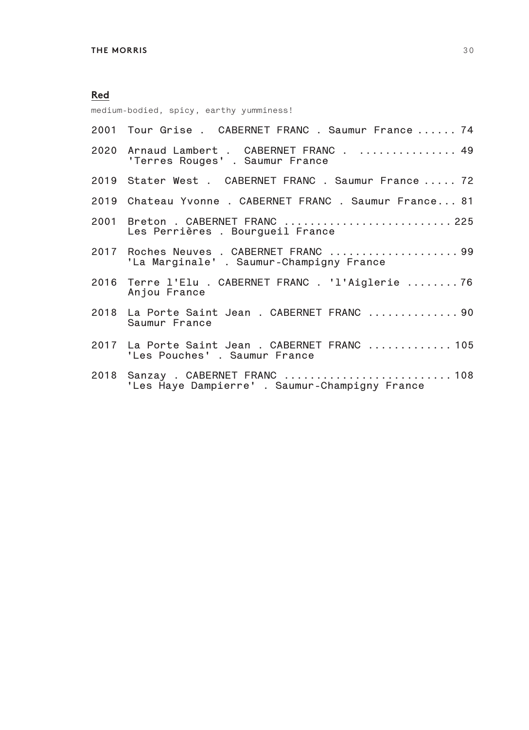## **Red** medium-bodied, spicy, earthy yumminess!

| 2001 Tour Grise . CABERNET FRANC . Saumur France  74                               |
|------------------------------------------------------------------------------------|
| 2020 Arnaud Lambert . CABERNET FRANC 49<br>'Terres Rouges' . Saumur France         |
| 2019 Stater West . CABERNET FRANC . Saumur France  72                              |
| 2019 Chateau Yvonne. CABERNET FRANC. Saumur France 81                              |
| 2001 Breton . CABERNET FRANC  225<br>Les Perrières. Bourgueil France               |
| 2017 Roches Neuves . CABERNET FRANC  99<br>'La Marginale'. Saumur-Champigny France |
| 2016 Terre l'Elu . CABERNET FRANC . 'l'Aiglerie 76<br>Anjou France                 |
| 2018 La Porte Saint Jean . CABERNET FRANC  90<br>Saumur France                     |
| 2017 La Porte Saint Jean . CABERNET FRANC  105<br>'Les Pouches' . Saumur France    |
| 2018 Sanzay . CABERNET FRANC  108<br>'Les Haye Dampierre'. Saumur-Champigny France |
|                                                                                    |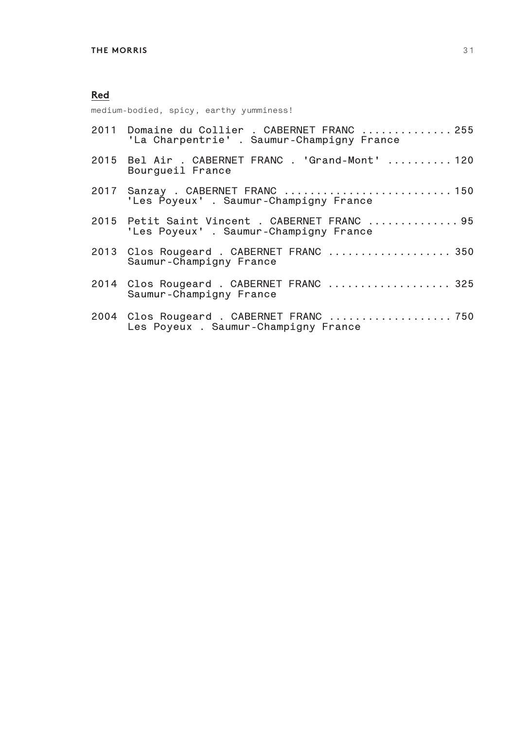medium-bodied, spicy, earthy yumminess!

| 2011 Domaine du Collier . CABERNET FRANC  255<br>'La Charpentrie'. Saumur-Champigny France |
|--------------------------------------------------------------------------------------------|
| 2015 Bel Air . CABERNET FRANC . 'Grand-Mont'  120<br>Bourgueil France                      |
| 2017 Sanzay . CABERNET FRANC  150<br>'Les Poyeux' . Saumur-Champigny France                |
| 2015 Petit Saint Vincent . CABERNET FRANC  95<br>'Les Poyeux' . Saumur-Champigny France    |
| 2013 Clos Rougeard . CABERNET FRANC  350<br>Saumur-Champigny France                        |
| 2014 Clos Rougeard . CABERNET FRANC  325<br>Saumur-Champigny France                        |
| Les Poyeux . Saumur-Champigny France                                                       |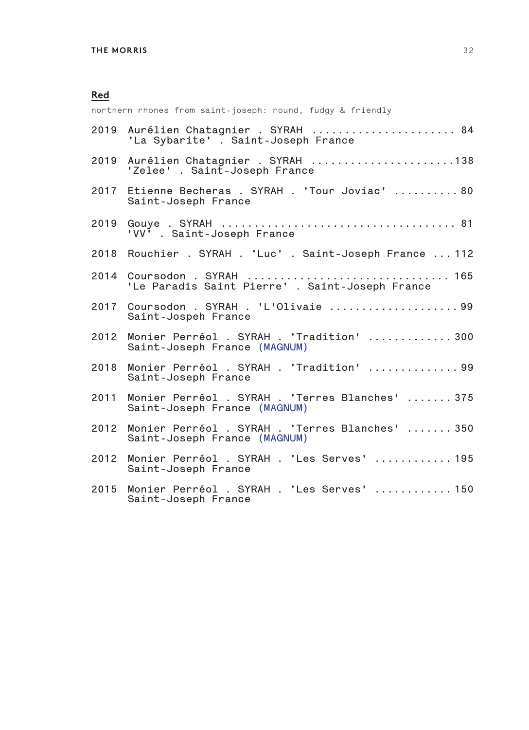northern rhones from saint-joseph: round, fudgy & friendly

|      | 2019 Aurélien Chatagnier . SYRAH  84<br>'La Sybarite'. Saint-Joseph France      |
|------|---------------------------------------------------------------------------------|
|      | 2019 Aurélien Chatagnier . SYRAH 138<br>'Zelee' . Saint-Joseph France           |
|      | 2017 Etienne Becheras . SYRAH . 'Tour Joviac'  80<br>Saint-Joseph France        |
| 2019 | 'VV' . Saint-Joseph France                                                      |
|      | 2018 Rouchier . SYRAH . 'Luc' . Saint-Joseph France  112                        |
|      | 2014 Coursodon . SYRAH  165<br>'Le Paradis Saint Pierre' . Saint-Joseph France  |
|      | 2017 Coursodon . SYRAH . 'L'Olivaie  99<br>Saint-Jospeh France                  |
| 2012 | Monier Perréol . SYRAH . 'Tradition'  300<br>Saint-Joseph France (MAGNUM)       |
| 2018 | Monier Perréol . SYRAH . 'Tradition' 99<br>Saint-Joseph France                  |
| 2011 | Monier Perréol . SYRAH . 'Terres Blanches'  375<br>Saint-Joseph France (MAGNUM) |
| 2012 | Monier Perréol . SYRAH . 'Terres Blanches'  350<br>Saint-Joseph France (MAGNUM) |
| 2012 | Monier Perréol . SYRAH . 'Les Serves'  195<br>Saint-Joseph France               |
| 2015 | Monier Perréol . SYRAH . 'Les Serves' 150<br>Saint-Joseph France                |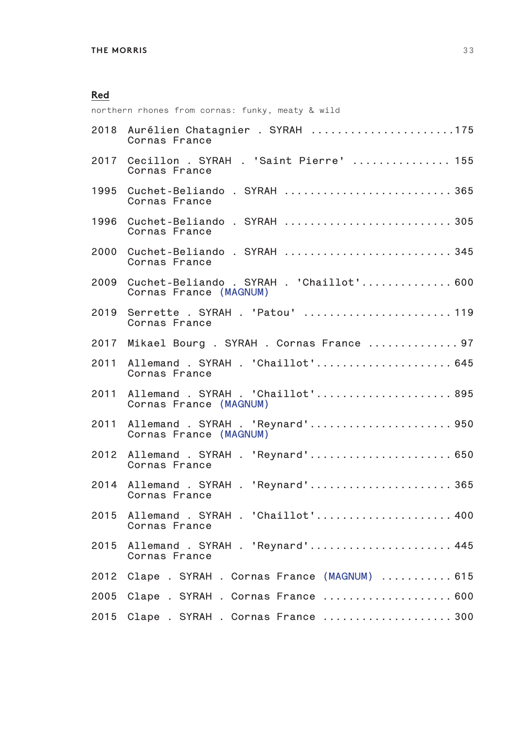northern rhones from cornas: funky, meaty & wild

| 2018 | Aurélien Chatagnier . SYRAH 175<br>Cornas France                   |
|------|--------------------------------------------------------------------|
| 2017 | Cecillon . SYRAH . 'Saint Pierre'  155<br>Cornas France            |
| 1995 | Cuchet-Beliando . SYRAH  365<br>Cornas France                      |
| 1996 | Cuchet-Beliando . SYRAH  305<br>Cornas France                      |
| 2000 | Cuchet-Beliando . SYRAH  345<br>Cornas France                      |
| 2009 | Cuchet-Beliando . SYRAH . 'Chaillot' 600<br>Cornas France (MAGNUM) |
| 2019 | Serrette . SYRAH . 'Patou'  119<br>Cornas France                   |
| 2017 | Mikael Bourg . SYRAH . Cornas France  97                           |
| 2011 | Allemand . SYRAH . 'Chaillot' 645<br>Cornas France                 |
| 2011 | Allemand . SYRAH . 'Chaillot' 895<br>Cornas France (MAGNUM)        |
| 2011 | Allemand . SYRAH . 'Reynard' 950<br>Cornas France (MAGNUM)         |
| 2012 | Allemand . SYRAH . 'Reynard' 650<br>Cornas France                  |
| 2014 | Allemand . SYRAH . 'Reynard' 365<br>Cornas France                  |
| 2015 | Allemand . SYRAH . 'Chaillot' 400<br>Cornas France                 |
| 2015 | Allemand . SYRAH . 'Reynard' 445<br>Cornas France                  |
| 2012 | Clape . SYRAH . Cornas France (MAGNUM)  615                        |
| 2005 | Clape . SYRAH . Cornas France  600                                 |
| 2015 | Clape . SYRAH . Cornas France  300                                 |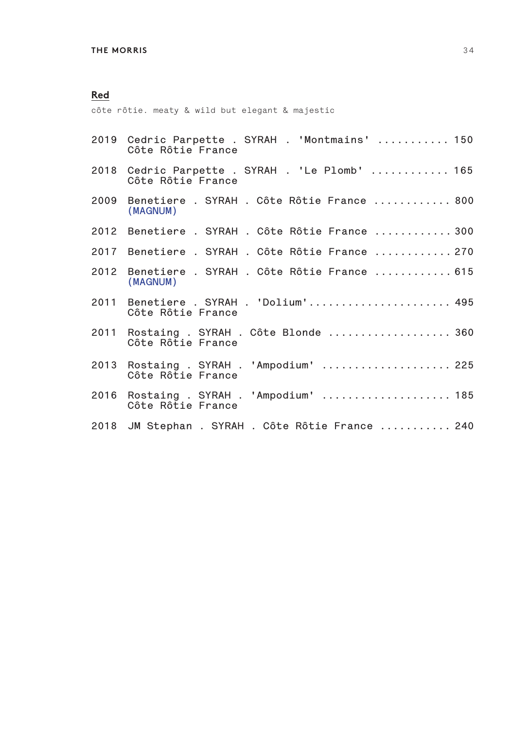côte rôtie. meaty & wild but elegant & majestic

|      | 2019 Cedric Parpette . SYRAH . 'Montmains'  150<br>Côte Rôtie France |
|------|----------------------------------------------------------------------|
|      | 2018 Cedric Parpette . SYRAH . 'Le Plomb'  165<br>Côte Rôtie France  |
|      | 2009 Benetiere . SYRAH . Côte Rôtie France  800<br>(MAGNUM)          |
|      | 2012 Benetiere . SYRAH . Côte Rôtie France  300                      |
|      | 2017 Benetiere . SYRAH . Côte Rôtie France  270                      |
| 2012 | Benetiere . SYRAH . Côte Rôtie France  615<br>(MAGNUM)               |
|      | 2011 Benetiere . SYRAH . 'Dolium' 495<br>Côte Rôtie France           |
|      | 2011 Rostaing . SYRAH . Côte Blonde  360<br>Côte Rôtie France        |
|      | 2013 Rostaing . SYRAH . 'Ampodium'  225<br>Côte Rôtie France         |
|      | 2016 Rostaing . SYRAH . 'Ampodium'  185<br>Côte Rôtie France         |
|      | 2018 JM Stephan . SYRAH . Côte Rôtie France  240                     |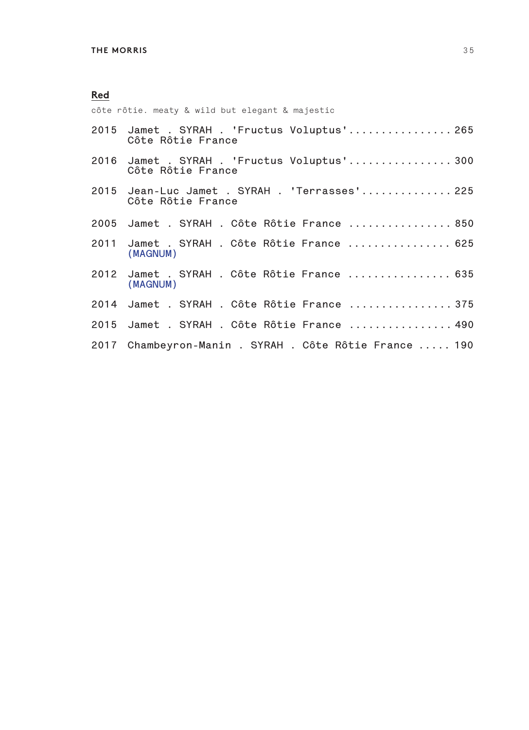côte rôtie. meaty & wild but elegant & majestic

| 2015 Jamet . SYRAH . 'Fructus Voluptus' 265<br>Côte Rôtie France   |
|--------------------------------------------------------------------|
| 2016 Jamet . SYRAH . 'Fructus Voluptus' 300<br>Côte Rôtie France   |
| 2015 Jean-Luc Jamet . SYRAH . 'Terrasses' 225<br>Côte Rôtie France |
| 2005 Jamet . SYRAH . Côte Rôtie France  850                        |
| 2011 Jamet . SYRAH . Côte Rôtie France  625<br>(MAGNUM)            |
| 2012 Jamet . SYRAH . Côte Rôtie France  635<br>(MAGNUM)            |
| 2014 Jamet . SYRAH . Côte Rôtie France  375                        |
| 2015 Jamet . SYRAH . Côte Rôtie France  490                        |
| 2017 Chambeyron-Manin . SYRAH . Côte Rôtie France  190             |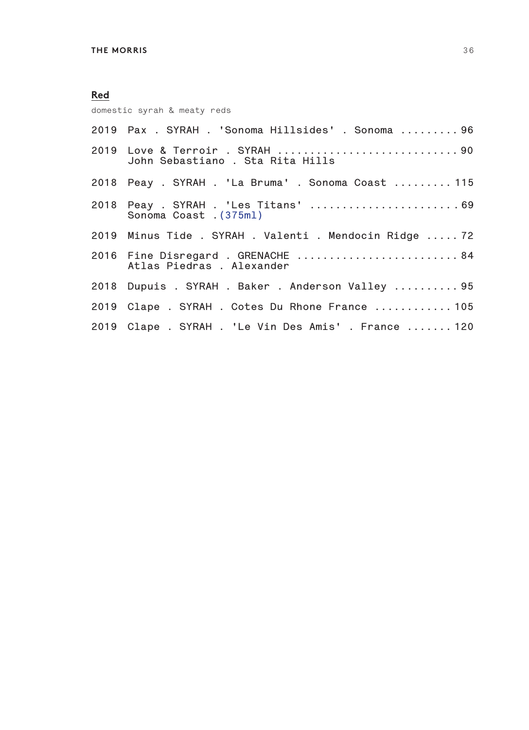domestic syrah & meaty reds

| 2019  Pax . SYRAH . 'Sonoma Hillsides' . Sonoma  96                   |
|-----------------------------------------------------------------------|
| 2019 Love & Terroir . SYRAH 90<br>John Sebastiano . Sta Rita Hills    |
| 2018 Peay . SYRAH . 'La Bruma' . Sonoma Coast  115                    |
| 2018  Peay . SYRAH . 'Les Titans' 69<br>Sonoma Coast . (375ml)        |
| 2019 Minus Tide . SYRAH . Valenti . Mendocin Ridge  72                |
| 2016    Fine Disregard . GRENACHE     84<br>Atlas Piedras . Alexander |
| 2018 Dupuis . SYRAH . Baker . Anderson Valley 95                      |
| 2019 Clape . SYRAH . Cotes Du Rhone France  105                       |
| 2019 Clape . SYRAH . 'Le Vin Des Amis' . France 120                   |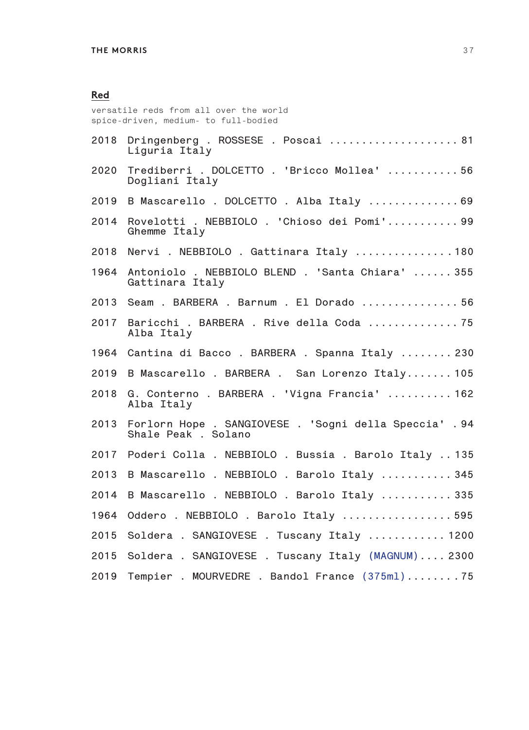versatile reds from all over the world spice-driven, medium- to full-bodied

| 2018 | Dringenberg. ROSSESE. Poscai81<br>Liguria Italy                              |
|------|------------------------------------------------------------------------------|
| 2020 | Trediberri . DOLCETTO . 'Bricco Mollea'  56<br>Dogliani Italy                |
| 2019 | B Mascarello. DOLCETTO. Alba Italy 69                                        |
| 2014 | Rovelotti . NEBBIOLO . 'Chioso dei Pomi' 99<br>Ghemme Italy                  |
| 2018 | Nervi . NEBBIOLO . Gattinara Italy 180                                       |
| 1964 | Antoniolo . NEBBIOLO BLEND . 'Santa Chiara'  355<br>Gattinara Italy          |
|      | 2013 Seam . BARBERA . Barnum . El Dorado  56                                 |
| 2017 | Baricchi . BARBERA . Rive della Coda 75<br>Alba Italy                        |
| 1964 | Cantina di Bacco. BARBERA. Spanna Italy  230                                 |
| 2019 | B Mascarello. BARBERA. San Lorenzo Italy 105                                 |
| 2018 | G. Conterno. BARBERA. 'Vigna Francia'  162<br>Alba Italy                     |
| 2013 | Forlorn Hope . SANGIOVESE . 'Sogni della Speccia' .94<br>Shale Peak . Solano |
| 2017 | Poderi Colla . NEBBIOLO . Bussia . Barolo Italy  135                         |
| 2013 | B Mascarello. NEBBIOLO. Barolo Italy  345                                    |
| 2014 | B Mascarello . NEBBIOLO . Barolo Italy  335                                  |
| 1964 | Oddero . NEBBIOLO . Barolo Italy  595                                        |
| 2015 | Soldera . SANGIOVESE . Tuscany Italy  1200                                   |
| 2015 | Soldera . SANGIOVESE . Tuscany Italy (MAGNUM) 2300                           |
| 2019 | Tempier . MOURVEDRE . Bandol France (375ml)75                                |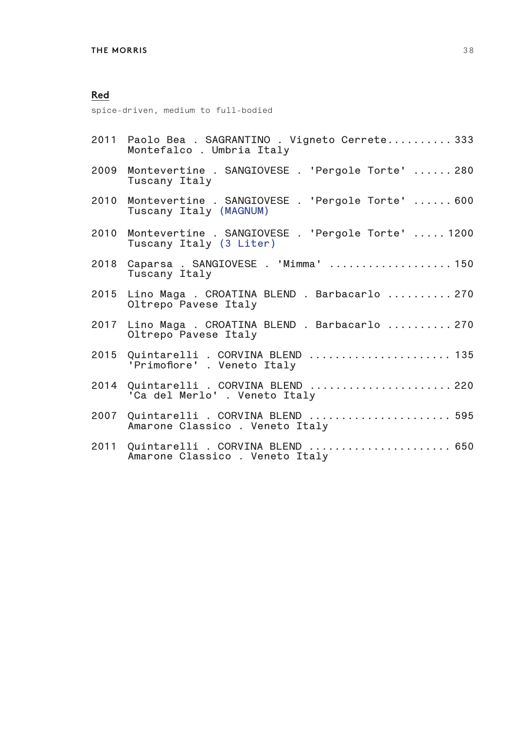spice-driven, medium to full-bodied

| 2011 Paolo Bea . SAGRANTINO . Vigneto Cerrete333<br>Montefalco. Umbria Italy |  |
|------------------------------------------------------------------------------|--|
| 2009 Montevertine . SANGIOVESE . 'Pergole Torte'  280<br>Tuscany Italy       |  |

- **2010 Montevertine . SANGIOVESE . 'Pergole Torte' ...... 600 Tuscany Italy (MAGNUM)**
- **2010 Montevertine . SANGIOVESE . 'Pergole Torte' ..... 1200 Tuscany Italy (3 Liter)**
- **2018 Caparsa . SANGIOVESE . 'Mimma' ................... 150 Tuscany Italy**
- **2015 Lino Maga . CROATINA BLEND . Barbacarlo .......... 270 Oltrepo Pavese Italy**
- **2017 Lino Maga . CROATINA BLEND . Barbacarlo .......... 270 Oltrepo Pavese Italy**
- **2015 Quintarelli . CORVINA BLEND ...................... 135 'Primofiore' . Veneto Italy**
- **2014 Quintarelli . CORVINA BLEND ...................... 220 'Ca del Merlo' . Veneto Italy**
- **2007 Quintarelli . CORVINA BLEND ...................... 595 Amarone Classico . Veneto Italy**
- **2011 Quintarelli . CORVINA BLEND ...................... 650 Amarone Classico . Veneto Italy**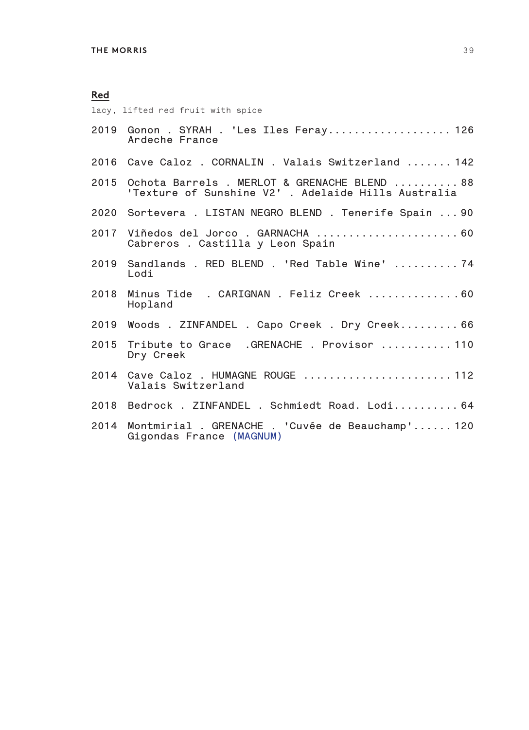lacy, lifted red fruit with spice

|      | Ardeche France                                                                                           |
|------|----------------------------------------------------------------------------------------------------------|
|      | 2016 Cave Caloz . CORNALIN . Valais Switzerland  142                                                     |
|      | 2015 Ochota Barrels . MERLOT & GRENACHE BLEND  88<br>'Texture of Sunshine V2' . Adelaide Hills Australia |
|      | 2020 Sortevera . LISTAN NEGRO BLEND . Tenerife Spain  90                                                 |
|      | 2017 Viñedos del Jorco. GARNACHA  60<br>Cabreros . Castilla y Leon Spain                                 |
|      | 2019 Sandlands . RED BLEND . 'Red Table Wine'  74<br>Lodi                                                |
|      | 2018 Minus Tide . CARIGNAN . Feliz Creek  60<br>Hopland                                                  |
|      | 2019 Woods . ZINFANDEL . Capo Creek . Dry Creek 66                                                       |
|      | 2015 Tribute to Grace .GRENACHE . Provisor  110<br>Dry Creek                                             |
|      | 2014 Cave Caloz . HUMAGNE ROUGE  112<br>Valais Switzerland                                               |
|      | 2018 Bedrock . ZINFANDEL . Schmiedt Road. Lodi 64                                                        |
| 2014 | Montmirial . GRENACHE . 'Cuvée de Beauchamp' 120<br>Gigondas France (MAGNUM)                             |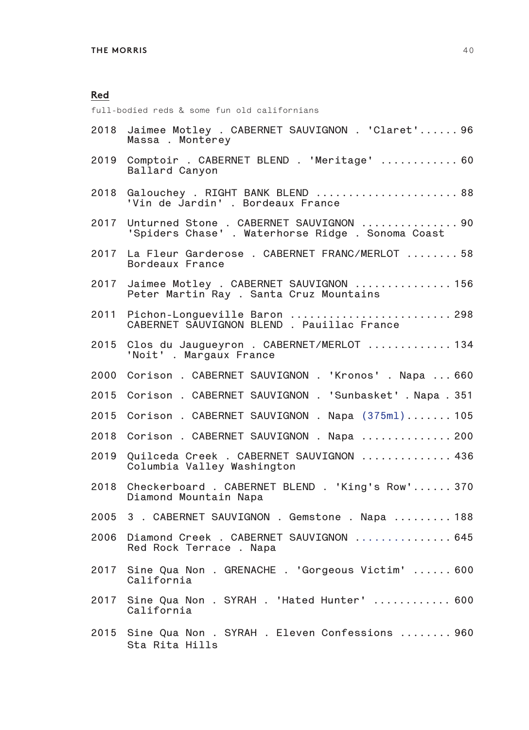full-bodied reds & some fun old californians

| 2018 | Jaimee Motley . CABERNET SAUVIGNON . 'Claret' 96<br>Massa . Monterey                         |
|------|----------------------------------------------------------------------------------------------|
| 2019 | Comptoir . CABERNET BLEND . 'Meritage'  60<br>Ballard Canyon                                 |
| 2018 | Galouchey . RIGHT BANK BLEND  88<br>'Vin de Jardin' . Bordeaux France                        |
| 2017 | Unturned Stone . CABERNET SAUVIGNON  90<br>'Spiders Chase' . Waterhorse Ridge . Sonoma Coast |
| 2017 | La Fleur Garderose . CABERNET FRANC/MERLOT  58<br>Bordeaux France                            |
| 2017 | Jaimee Motley . CABERNET SAUVIGNON  156<br>Peter Martin Ray . Santa Cruz Mountains           |
| 2011 | Pichon-Longueville Baron  298<br>CABERNET SÁUVIGNON BLEND . Pauillac France                  |
| 2015 | Clos du Jaugueyron . CABERNET/MERLOT  134<br>'Noit' . Margaux France                         |
| 2000 | Corison . CABERNET SAUVIGNON . 'Kronos' . Napa  660                                          |
| 2015 | Corison . CABERNET SAUVIGNON . 'Sunbasket' . Napa . 351                                      |
| 2015 | Corison . CABERNET SAUVIGNON . Napa (375ml) 105                                              |
| 2018 | Corison . CABERNET SAUVIGNON . Napa  200                                                     |
| 2019 | Quilceda Creek . CABERNET SAUVIGNON  436<br>Columbia Valley Washington                       |
| 2018 | Checkerboard . CABERNET BLEND . 'King's Row' 370<br>Diamond Mountain Napa                    |
| 2005 | 3 . CABERNET SAUVIGNON . Gemstone . Napa  188                                                |
| 2006 | Diamond Creek . CABERNET SAUVIGNON  645<br>Red Rock Terrace . Napa                           |
|      | 2017 Sine Qua Non . GRENACHE . 'Gorgeous Victim'  600<br>California                          |
| 2017 | Sine Qua Non . SYRAH . 'Hated Hunter'  600<br>California                                     |
|      | 2015 Sine Qua Non . SYRAH . Eleven Confessions  960<br>Sta Rita Hills                        |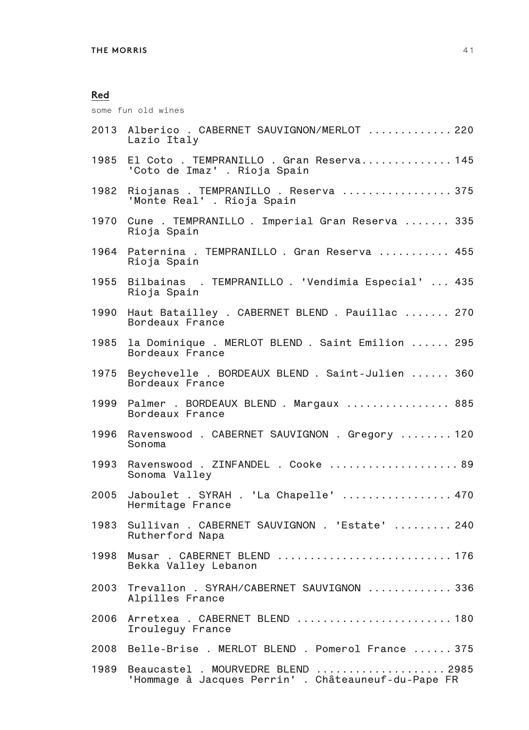some fun old wines

|      | 2013 Alberico . CABERNET SAUVIGNON/MERLOT  220<br>Lazio Italy                             |
|------|-------------------------------------------------------------------------------------------|
| 1985 | El Coto . TEMPRANILLO . Gran Reserva 145<br>'Coto de Imaz' . Rioja Spain                  |
| 1982 | Riojanas . TEMPRANILLO . Reserva  375<br>'Monte Real' . Rioja Spain                       |
| 1970 | Cune . TEMPRANILLO . Imperial Gran Reserva  335<br>Rioja Spain                            |
| 1964 | Paternina . TEMPRANILLO . Gran Reserva  455<br>Rioja Spain                                |
| 1955 | Bilbainas . TEMPRANILLO . 'Vendimia Especial'  435<br>Rioja Spain                         |
| 1990 | Haut Batailley . CABERNET BLEND . Pauillac  270<br>Bordeaux France                        |
| 1985 | la Dominique . MERLOT BLEND . Saint Emilion  295<br>Bordeaux France                       |
| 1975 | Beychevelle . BORDEAUX BLEND . Saint-Julien  360<br>Bordeaux France                       |
|      | 1999 Palmer . BORDEAUX BLEND . Margaux  885<br>Bordeaux France                            |
| 1996 | Ravenswood . CABERNET SAUVIGNON . Gregory  120<br>Sonoma                                  |
| 1993 | Ravenswood . ZINFANDEL . Cooke  89<br>Sonoma Valley                                       |
| 2005 | Jaboulet . SYRAH . 'La Chapelle'  470<br>Hermitage France                                 |
| 1983 | Sullivan . CABERNET SAUVIGNON . 'Estate'  240<br>Rutherford Napa                          |
| 1998 | Musar . CABERNET BLEND  176<br>Bekka Valley Lebanon                                       |
| 2003 | Trevallon . SYRAH/CABERNET SAUVIGNON  336<br>Alpilles France                              |
| 2006 | Arretxea . CABERNET BLEND  180<br>Irouleguy France                                        |
| 2008 | Belle-Brise . MERLOT BLEND . Pomerol France  375                                          |
| 1989 | Beaucastel . MOURVEDRE BLEND  2985<br>'Hommage à Jacques Perrin' . Châteauneuf-du-Pape FR |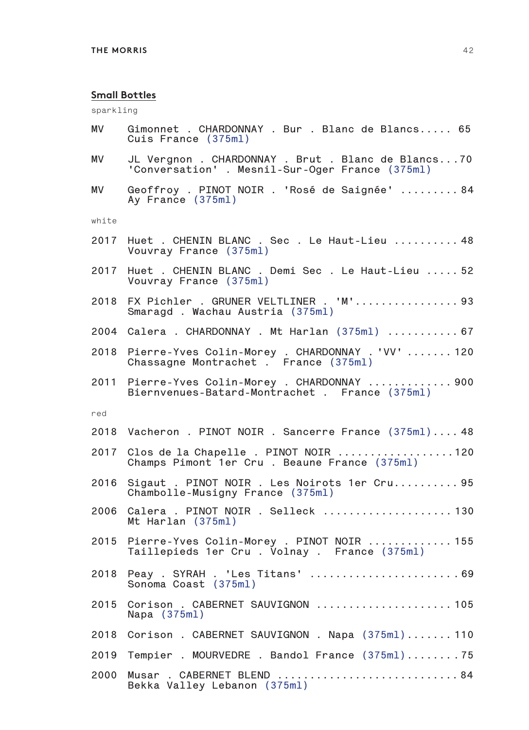#### **Small Bottles**

sparkling

- **MV Gimonnet . CHARDONNAY . Bur . Blanc de Blancs..... 65 Cuis France (375ml)**
- **MV JL Vergnon . CHARDONNAY . Brut . Blanc de Blancs...70 'Conversation' . Mesnil-Sur-Oger France (375ml)**
- **MV Geoffroy . PINOT NOIR . 'Rosé de Saignée' ......... 84 Ay France (375ml)**

white

- **2017 Huet . CHENIN BLANC . Sec . Le Haut-Lieu .......... 48 Vouvray France (375ml)**
- **2017 Huet . CHENIN BLANC . Demi Sec . Le Haut-Lieu ..... 52 Vouvray France (375ml)**
- **2018 FX Pichler . GRUNER VELTLINER . 'M'................ 93 Smaragd . Wachau Austria (375ml)**
- **2004 Calera . CHARDONNAY . Mt Harlan (375ml) ........... 67**
- **2018 Pierre-Yves Colin-Morey . CHARDONNAY . 'VV' ....... 120 Chassagne Montrachet . France (375ml)**
- **2011 Pierre-Yves Colin-Morey . CHARDONNAY ............. 900 Biernvenues-Batard-Montrachet . France (375ml)**

red

| 2018 Vacheron . PINOT NOIR . Sancerre France (375ml) 48                                       |
|-----------------------------------------------------------------------------------------------|
| 2017 Clos de la Chapelle . PINOT NOIR 120<br>Champs Pimont 1er Cru. Beaune France (375ml)     |
| 2016 Sigaut . PINOT NOIR . Les Noirots 1er Cru 95<br>Chambolle-Musigny France (375ml)         |
| 2006 Calera . PINOT NOIR . Selleck 130<br>Mt Harlan (375ml)                                   |
| 2015 Pierre-Yves Colin-Morey . PINOT NOIR  155<br>Taillepieds 1er Cru. Volnay. France (375ml) |
| 2018  Peay . SYRAH . 'Les Titans' 69<br>Sonoma Coast (375ml)                                  |
| 2015 Corison . CABERNET SAUVIGNON  105<br>Napa $(375m1)$                                      |
| 2018 Corison . CABERNET SAUVIGNON . Napa (375ml) 110                                          |
| 2019 Tempier . MOURVEDRE . Bandol France (375ml)75                                            |
| 2000 Musar . CABERNET BLEND  84<br>Bekka Valley Lebanon (375ml)                               |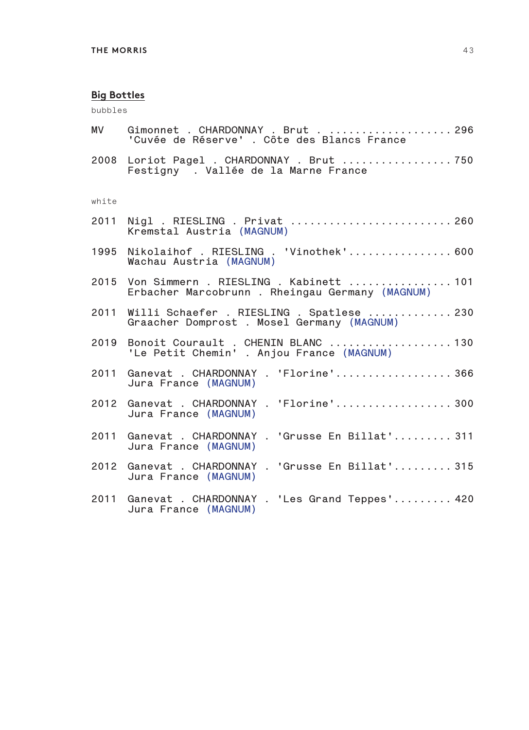bubbles

| MV    | Gimonnet . CHARDONNAY . Brut 296<br>'Cuvée de Réserve' . Côte des Blancs France                |
|-------|------------------------------------------------------------------------------------------------|
|       | 2008 Loriot Pagel . CHARDONNAY . Brut 750<br>Festigny . Vallée de la Marne France              |
| white |                                                                                                |
|       | 2011 Nigl . RIESLING . Privat  260<br>Kremstal Austria (MAGNUM)                                |
|       | 1995 Nikolaihof . RIESLING . 'Vinothek' 600<br>Wachau Austria (MAGNUM)                         |
|       | 2015 Von Simmern . RIESLING . Kabinett  101<br>Erbacher Marcobrunn . Rheingau Germany (MAGNUM) |
|       | 2011 Willi Schaefer . RIESLING . Spatlese  230<br>Graacher Domprost . Mosel Germany (MAGNUM)   |
|       | 2019 Bonoit Courault . CHENIN BLANC  130<br>'Le Petit Chemin' . Anjou France (MAGNUM)          |
|       | 2011 Ganevat . CHARDONNAY . 'Florine' 366<br>Jura France (MAGNUM)                              |
|       | 2012 Ganevat . CHARDONNAY . 'Florine' 300<br>Jura France (MAGNUM)                              |
|       | 2011 Ganevat . CHARDONNAY . 'Grusse En Billat' 311<br>Jura France (MAGNUM)                     |
|       | 2012 Ganevat . CHARDONNAY . 'Grusse En Billat' 315<br>Jura France (MAGNUM)                     |
|       | 2011 Ganevat . CHARDONNAY . 'Les Grand Teppes' 420<br>Jura France (MAGNUM)                     |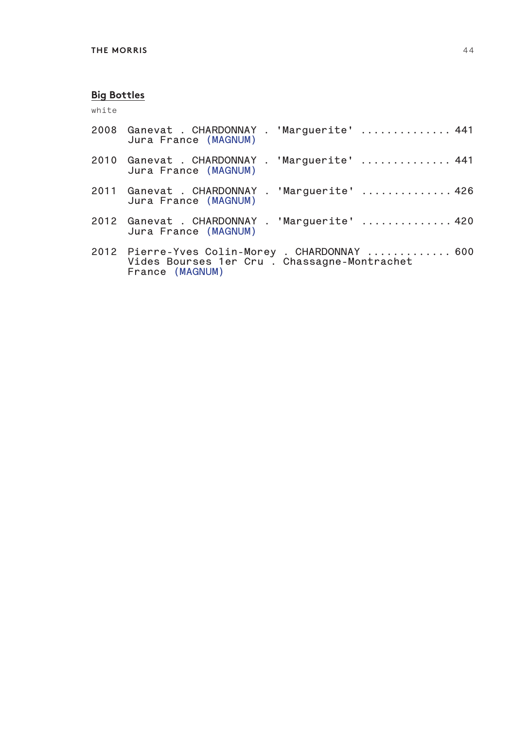white

| 2008 Ganevat . CHARDONNAY . 'Marguerite'  441<br>Jura France (MAGNUM)                                             |
|-------------------------------------------------------------------------------------------------------------------|
| 2010 Ganevat . CHARDONNAY . 'Marguerite'  441<br>Jura France (MAGNUM)                                             |
| 2011 Ganevat . CHARDONNAY . 'Marguerite'  426<br>Jura France (MAGNUM)                                             |
| 2012 Ganevat . CHARDONNAY . 'Marguerite'  420<br>Jura France (MAGNUM)                                             |
| 2012 Pierre-Yves Colin-Morey . CHARDONNAY  600<br>Vides Bourses 1er Cru . Chassagne-Montrachet<br>France (MAGNUM) |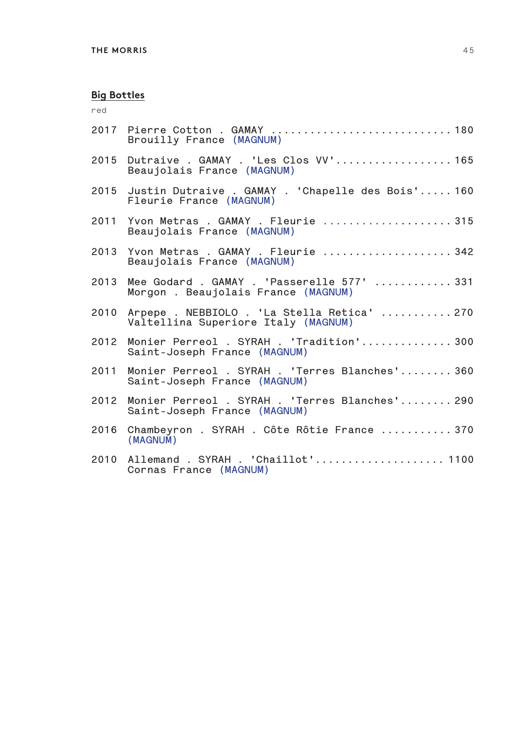red

|      | 2017 Pierre Cotton . GAMAY  180<br>Brouilly France (MAGNUM)                             |
|------|-----------------------------------------------------------------------------------------|
|      | 2015 Dutraive . GAMAY . 'Les Clos VV' 165<br>Beaujolais France (MAGNUM)                 |
|      | 2015 Justin Dutraive . GAMAY . 'Chapelle des Bois' 160<br>Fleurie France (MAGNUM)       |
|      | 2011 Yvon Metras . GAMAY . Fleurie 315<br>Beaujolais France (MAGNUM)                    |
| 2013 | Yvon Metras . GAMAY . Fleurie  342<br>Beaujolais France (MAGNUM)                        |
| 2013 | Mee Godard . GAMAY . 'Passerelle 577'  331<br>Morgon. Beaujolais France (MAGNUM)        |
|      | 2010 Arpepe . NEBBIOLO . 'La Stella Retica'  270<br>Valtellina Superiore Italy (MAGNUM) |
|      | 2012 Monier Perreol . SYRAH . 'Tradition' 300<br>Saint-Joseph France (MAGNUM)           |
| 2011 | Monier Perreol . SYRAH . 'Terres Blanches' 360<br>Saint-Joseph France (MAGNUM)          |
| 2012 | Monier Perreol . SYRAH . 'Terres Blanches' 290<br>Saint-Joseph France (MAGNUM)          |
| 2016 | Chambeyron . SYRAH . Côte Rôtie France  370<br>(MAGNUM)                                 |
| 2010 | Allemand . SYRAH . 'Chaillot' 1100<br>Cornas France (MAGNUM)                            |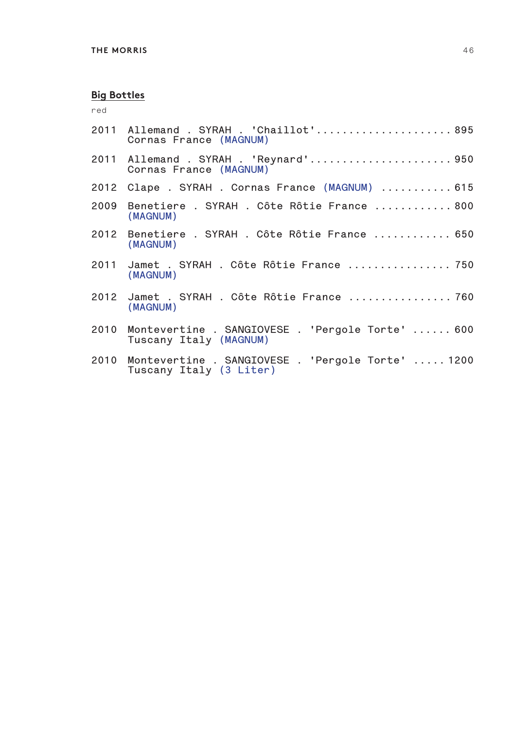red

| 2011 Allemand . SYRAH . 'Chaillot' 895<br>Cornas France (MAGNUM)                  |
|-----------------------------------------------------------------------------------|
| 2011 Allemand . SYRAH . 'Reynard'950<br>Cornas France (MAGNUM)                    |
| 2012 Clape . SYRAH . Cornas France (MAGNUM)  615                                  |
| 2009 Benetiere . SYRAH . Côte Rôtie France  800<br>(MAGNUM)                       |
| 2012 Benetiere . SYRAH . Côte Rôtie France  650<br>(MAGNUM)                       |
| 2011 Jamet . SYRAH . Côte Rôtie France  750<br>(MAGNUM)                           |
| 2012 Jamet . SYRAH . Côte Rôtie France  760<br>(MAGNUM)                           |
| 2010 Montevertine . SANGIOVESE . 'Pergole Torte'  600<br>Tuscany Italy (MAGNUM)   |
| 2010 Montevertine . SANGIOVESE . 'Pergole Torte'  1200<br>Tuscany Italy (3 Liter) |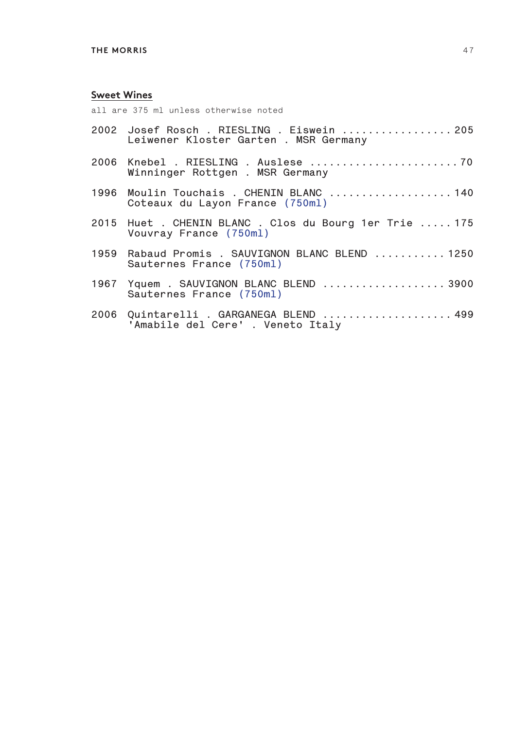#### **Sweet Wines**

all are 375 ml unless otherwise noted

| 2002 Josef Rosch . RIESLING . Eiswein  205<br>Leiwener Kloster Garten. MSR Germany |
|------------------------------------------------------------------------------------|
| Winninger Rottgen . MSR Germany                                                    |
| 1996  Moulin Touchais . CHENIN BLANC 140<br>Coteaux du Layon France (750ml)        |
| 2015 Huet . CHENIN BLANC . Clos du Bourg 1er Trie  175<br>Vouvray France (750ml)   |
| 1959 Rabaud Promis . SAUVIGNON BLANC BLEND 1250<br>Sauternes France (750ml)        |
| 1967 Yquem . SAUVIGNON BLANC BLEND 3900<br>Sauternes France (750ml)                |
|                                                                                    |

**2006 Quintarelli . GARGANEGA BLEND .................... 499 'Amabile del Cere' . Veneto Italy**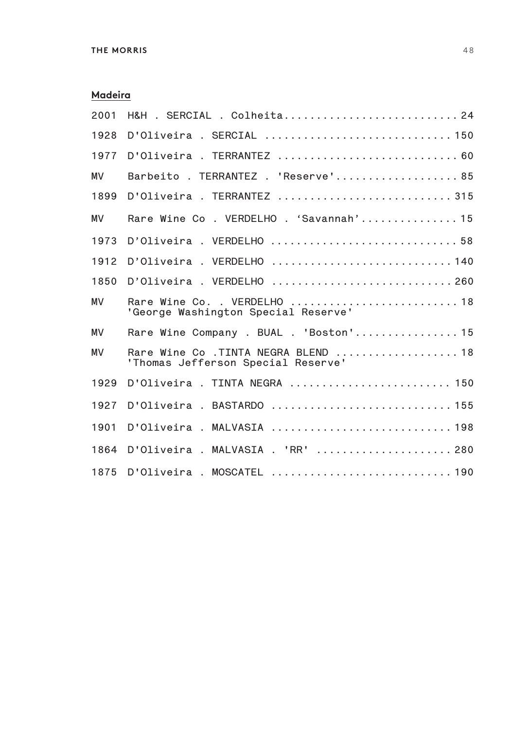### **Madeira**

| 2001      | H&H . SERCIAL . Colheita 24                                               |
|-----------|---------------------------------------------------------------------------|
| 1928      |                                                                           |
| 1977      |                                                                           |
| <b>MV</b> | Barbeito . TERRANTEZ . 'Reserve' 85                                       |
| 1899      | D'Oliveira. TERRANTEZ315                                                  |
| MV        | Rare Wine Co. VERDELHO. 'Savannah'15                                      |
| 1973      | D'Oliveira. VERDELHO 58                                                   |
| 1912      | D'Oliveira . VERDELHO  140                                                |
| 1850      | D'Oliveira. VERDELHO 260                                                  |
| MV        | Rare Wine Co. . VERDELHO  18<br>'George Washington Special Reserve'       |
| <b>MV</b> | Rare Wine Company . BUAL . 'Boston' 15                                    |
| MV        | Rare Wine Co .TINTA NEGRA BLEND  18<br>'Thomas Jefferson Special Reserve' |
| 1929      | D'Oliveira . TINTA NEGRA  150                                             |
| 1927      | D'Oliveira . BASTARDO  155                                                |
| 1901      | D'Oliveira . MALVASIA  198                                                |
| 1864      | D'Oliveira . MALVASIA . 'RR'  280                                         |
| 1875      |                                                                           |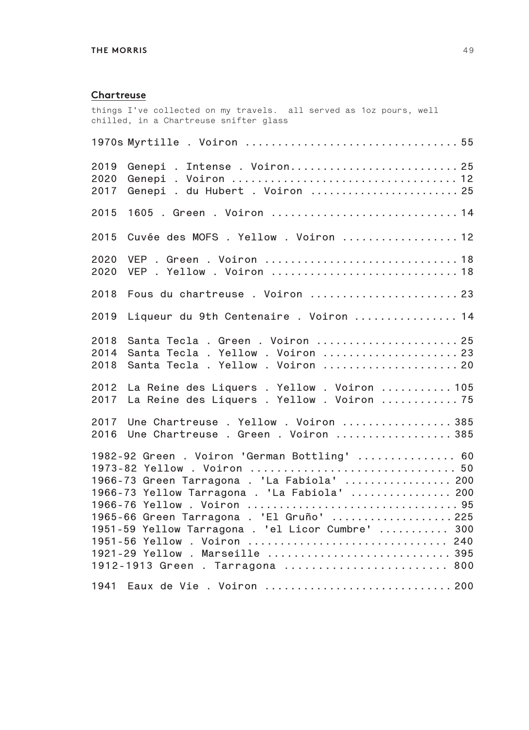#### **Chartreuse**

things I've collected on my travels. all served as 1oz pours, well chilled, in a Chartreuse snifter glass **1970s Myrtille . Voiron ................................. 55 2019 Genepi . Intense . Voiron.......................... 25 2020 Genepi . Voiron ................................... 12 2017 Genepi . du Hubert . Voiron ........................ 25 2015 1605 . Green . Voiron ............................. 14 2015 Cuvée des MOFS . Yellow . Voiron .................. 12 2020 VEP . Green . Voiron .............................. 18 2020 VEP . Yellow . Voiron ............................. 18 2018 Fous du chartreuse . Voiron ....................... 23 2019 Liqueur du 9th Centenaire . Voiron ................ 14 2018 Santa Tecla . Green . Voiron ...................... 25 2014 Santa Tecla . Yellow . Voiron ..................... 23 2018 Santa Tecla . Yellow . Voiron ..................... 20 2012 La Reine des Liquers . Yellow . Voiron ........... 105 2017 La Reine des Liquers . Yellow . Voiron ............ 75 2017 Une Chartreuse . Yellow . Voiron ................. 385 2016 Une Chartreuse . Green . Voiron .................. 385 1982-92 Green . Voiron 'German Bottling' ............... 60 1973-82 Yellow . Voiron ............................... 50 1966-73 Green Tarragona . 'La Fabiola' ................. 200 1966-73 Yellow Tarragona . 'La Fabiola' ................ 200 1966-76 Yellow . Voiron ................................. 95 1965-66 Green Tarragona . 'El Gruño' ................... 225 1951-59 Yellow Tarragona . 'el Licor Cumbre' ........... 300 1951-56 Yellow . Voiron ............................... 240 1921-29 Yellow . Marseille ............................ 395 1912-1913 Green . Tarragona ........................ 800 1941 Eaux de Vie . Voiron ............................. 200**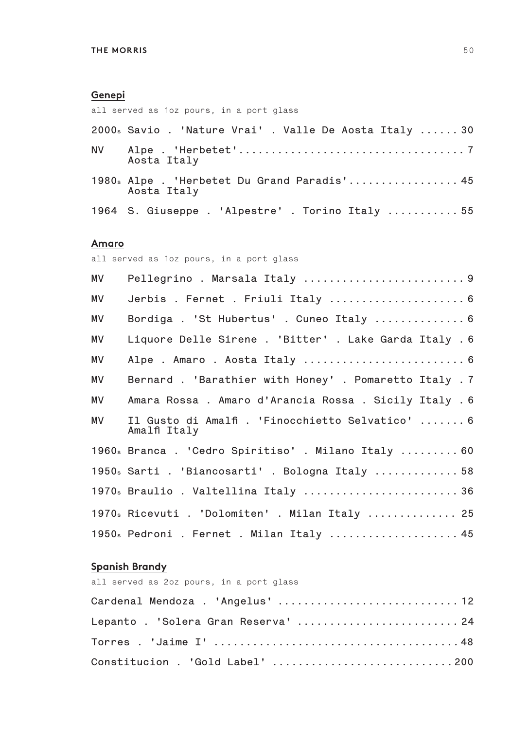#### **Genepi**

all served as 1oz pours, in a port glass

| 2000s Savio. 'Nature Vrai'. Valle De Aosta Italy30         |
|------------------------------------------------------------|
| Aosta Italy                                                |
| 1980s Alpe . 'Herbetet Du Grand Paradis' 45<br>Aosta Italy |

**1964 S. Giuseppe . 'Alpestre' . Torino Italy ........... 55**

#### **Amaro**

all served as 1oz pours, in a port glass

| МV | Pellegrino . Marsala Italy  9                                    |
|----|------------------------------------------------------------------|
| MV | Jerbis . Fernet . Friuli Italy  6                                |
| MV | Bordiga. 'St Hubertus'. Cuneo Italy  6                           |
| MV | Liquore Delle Sirene . 'Bitter' . Lake Garda Italy . 6           |
| ΜV |                                                                  |
| МV | Bernard . 'Barathier with Honey' . Pomaretto Italy . 7           |
| ΜV | Amara Rossa. Amaro d'Arancia Rossa. Sicily Italy. 6              |
| МV | Il Gusto di Amalfi . 'Finocchietto Selvatico'  6<br>Amalfi Italy |
|    | 1960s Branca. 'Cedro Spiritiso'. Milano Italy  60                |
|    | 1950s Sarti . 'Biancosarti' . Bologna Italy  58                  |
|    | 1970s Braulio . Valtellina Italy  36                             |
|    | 1970s Ricevuti . 'Dolomiten' . Milan Italy  25                   |
|    | 1950s Pedroni . Fernet . Milan Italy  45                         |

#### **Spanish Brandy**

| all served as 2oz pours, in a port glass |  |
|------------------------------------------|--|
|                                          |  |
| Lepanto . 'Solera Gran Reserva'  24      |  |
|                                          |  |
| Constitucion . 'Gold Label' 200          |  |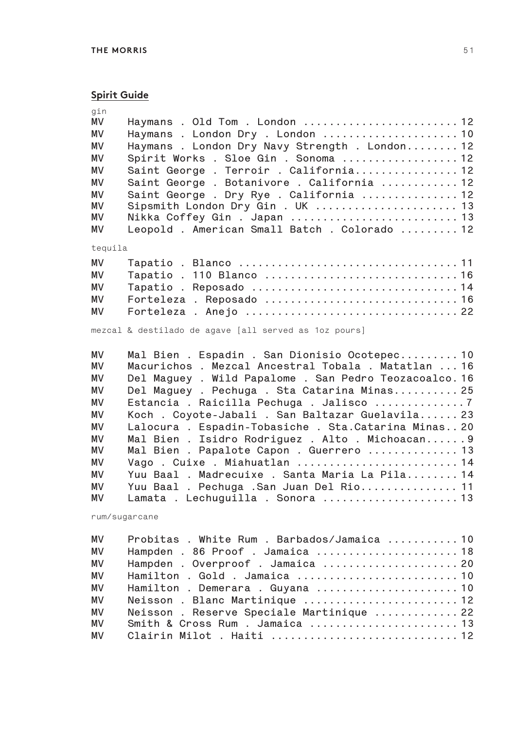## **Spirit Guide**

| gin<br>MV<br>MV<br>MV<br>MV<br>MV<br>MV<br>MV<br>MV<br>MV<br>MV                                    | Haymans . Old Tom . London  12<br>Haymans. London Dry. London  10<br>Haymans . London Dry Navy Strength . London 12<br>Spirit Works . Sloe Gin . Sonoma  12<br>Saint George . Terroir . California 12<br>Saint George . Botanivore . California  12<br>Saint George . Dry Rye . California  12<br>Sipsmith London Dry Gin . UK  13<br>Nikka Coffey Gin . Japan  13<br>Leopold . American Small Batch . Colorado  12                                                                                                                                                                                                                       |
|----------------------------------------------------------------------------------------------------|-------------------------------------------------------------------------------------------------------------------------------------------------------------------------------------------------------------------------------------------------------------------------------------------------------------------------------------------------------------------------------------------------------------------------------------------------------------------------------------------------------------------------------------------------------------------------------------------------------------------------------------------|
| tequila                                                                                            |                                                                                                                                                                                                                                                                                                                                                                                                                                                                                                                                                                                                                                           |
| <b>MV</b>                                                                                          | Tapatio . 110 Blanco  16                                                                                                                                                                                                                                                                                                                                                                                                                                                                                                                                                                                                                  |
| MV                                                                                                 | Tapatio. Reposado 14                                                                                                                                                                                                                                                                                                                                                                                                                                                                                                                                                                                                                      |
| MV                                                                                                 |                                                                                                                                                                                                                                                                                                                                                                                                                                                                                                                                                                                                                                           |
| MV                                                                                                 | Forteleza . Anejo  22                                                                                                                                                                                                                                                                                                                                                                                                                                                                                                                                                                                                                     |
| MV                                                                                                 | mezcal & destilado de agave [all served as 1oz pours]                                                                                                                                                                                                                                                                                                                                                                                                                                                                                                                                                                                     |
| MV<br>MV<br>MV<br>MV<br>MV<br>MV<br>MV<br>MV<br>ΜV<br>MV<br>MV<br><b>MV</b><br>ΜV<br>rum/sugarcane | Mal Bien . Espadin . San Dionisio Ocotepec 10<br>Macurichos . Mezcal Ancestral Tobala . Matatlan  16<br>Del Maguey . Wild Papalome . San Pedro Teozacoalco. 16<br>Del Maguey . Pechuga . Sta Catarina Minas 25<br>Estancia . Raicilla Pechuga . Jalisco 7<br>Koch . Coyote-Jabali . San Baltazar Guelavila 23<br>Lalocura . Espadin-Tobasiche . Sta. Catarina Minas 20<br>Mal Bien . Isidro Rodriguez . Alto . Michoacan 9<br>Mal Bien . Papalote Capon . Guerrero  13<br>Vago . Cuixe . Miahuatlan  14<br>Yuu Baal . Madrecuixe . Santa Maria La Pila 14<br>Yuu Baal. Pechuga . San Juan Del Rio 11<br>Lamata . Lechuguilla . Sonora  13 |
| MV                                                                                                 | Probitas . White Rum . Barbados/Jamaica  10                                                                                                                                                                                                                                                                                                                                                                                                                                                                                                                                                                                               |
| MV                                                                                                 | Hampden . 86 Proof . Jamaica  18                                                                                                                                                                                                                                                                                                                                                                                                                                                                                                                                                                                                          |
| MV                                                                                                 | Hampden . Overproof . Jamaica  20                                                                                                                                                                                                                                                                                                                                                                                                                                                                                                                                                                                                         |
| MV                                                                                                 | Hamilton . Gold . Jamaica  10                                                                                                                                                                                                                                                                                                                                                                                                                                                                                                                                                                                                             |
| <b>MV</b>                                                                                          | Hamilton . Demerara . Guyana  10                                                                                                                                                                                                                                                                                                                                                                                                                                                                                                                                                                                                          |
| <b>MV</b>                                                                                          | Neisson. Blanc Martinique  12                                                                                                                                                                                                                                                                                                                                                                                                                                                                                                                                                                                                             |
| <b>MV</b>                                                                                          | Neisson. Reserve Speciale Martinique  22                                                                                                                                                                                                                                                                                                                                                                                                                                                                                                                                                                                                  |
| MV                                                                                                 | Smith & Cross Rum . Jamaica  13                                                                                                                                                                                                                                                                                                                                                                                                                                                                                                                                                                                                           |
| MV                                                                                                 |                                                                                                                                                                                                                                                                                                                                                                                                                                                                                                                                                                                                                                           |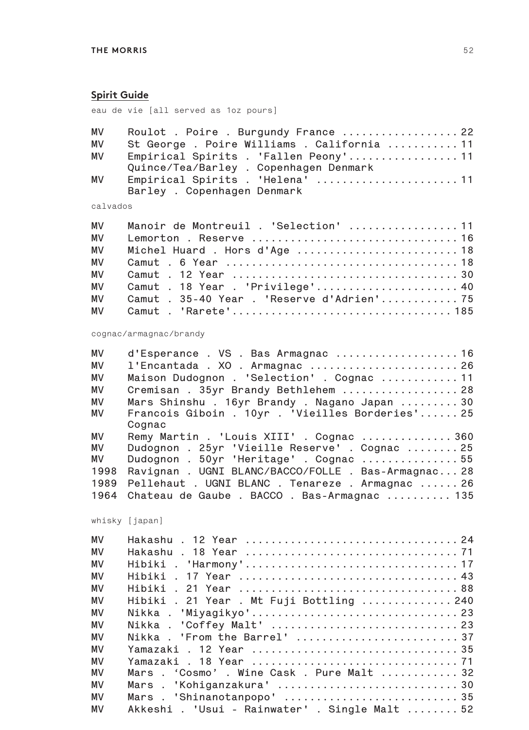#### **Spirit Guide**

eau de vie [all served as 1oz pours]

|    | MV Roulot . Poire . Burgundy France  22     |  |
|----|---------------------------------------------|--|
| МV | St George . Poire Williams . California  11 |  |
| MV | Empirical Spirits . 'Fallen Peony' 11       |  |
|    | Quince/Tea/Barley . Copenhagen Denmark      |  |
| МV | Empirical Spirits . 'Helena'  11            |  |
|    | Barley . Copenhagen Denmark                 |  |

calvados

| <b>MV</b> | Manoir de Montreuil . 'Selection' 11      |
|-----------|-------------------------------------------|
| <b>MV</b> |                                           |
| <b>MV</b> |                                           |
| <b>MV</b> |                                           |
| <b>MV</b> |                                           |
| <b>MV</b> | Camut . 18 Year . 'Privilege' 40          |
| <b>MV</b> | Camut . 35-40 Year . 'Reserve d'Adrien'75 |
|           |                                           |

#### cognac/armagnac/brandy

| l'Encantada . XO . Armagnac  26                     |  |  |  |  |  |
|-----------------------------------------------------|--|--|--|--|--|
| Maison Dudognon . 'Selection' . Cognac  11          |  |  |  |  |  |
| Cremisan . 35yr Brandy Bethlehem  28                |  |  |  |  |  |
| Mars Shinshu. 16yr Brandy. Nagano Japan30           |  |  |  |  |  |
| Francois Giboin . 10yr . 'Vieilles Borderies' 25    |  |  |  |  |  |
| Cognac                                              |  |  |  |  |  |
| Remy Martin . 'Louis XIII' . Cognac  360            |  |  |  |  |  |
| Dudognon . 25yr 'Vieille Reserve' . Cognac  25      |  |  |  |  |  |
| Dudognon . 50yr 'Heritage' . Cognac  55             |  |  |  |  |  |
| Ravignan . UGNI BLANC/BACCO/FOLLE . Bas-Armagnac 28 |  |  |  |  |  |
| Pellehaut . UGNI BLANC . Tenareze . Armagnac  26    |  |  |  |  |  |
| Chateau de Gaube . BACCO . Bas-Armagnac  135        |  |  |  |  |  |
|                                                     |  |  |  |  |  |

whisky [japan]

| MV        | Hakashu . 12 Year  24                          |
|-----------|------------------------------------------------|
| MV        |                                                |
| MV        |                                                |
| MV        |                                                |
| MV        |                                                |
| MV        | Hibiki . 21 Year . Mt Fuji Bottling  240       |
| MV        | Nikka . 'Miyagikyo' 23                         |
| MV        | Nikka . 'Coffey Malt'  23                      |
| MV        | Nikka . 'From the Barrel'  37                  |
| <b>MV</b> |                                                |
| <b>MV</b> |                                                |
| MV        | Mars . 'Cosmo' . Wine Cask . Pure Malt  32     |
| MV        |                                                |
| MV        | Mars . 'Shinanotanpopo' 35                     |
| MV        | Akkeshi . 'Usui - Rainwater' . Single Malt  52 |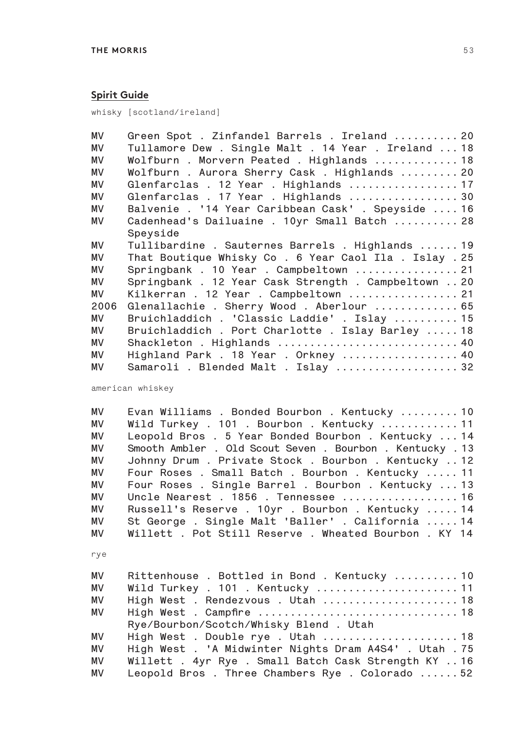#### **Spirit Guide**

whisky [scotland/ireland]

| <b>MV</b> | Green Spot . Zinfandel Barrels . Ireland  20         |
|-----------|------------------------------------------------------|
| MV        | Tullamore Dew . Single Malt . 14 Year . Ireland  18  |
| MV        | Wolfburn . Morvern Peated . Highlands  18            |
| MV        | Wolfburn. Aurora Sherry Cask. Highlands  20          |
| MV        | Glenfarclas . 12 Year . Highlands  17                |
| MV        | Glenfarclas . 17 Year . Highlands  30                |
| <b>MV</b> | Balvenie . '14 Year Caribbean Cask' . Speyside  16   |
| MV.       | Cadenhead's Dailuaine . 10yr Small Batch  28         |
|           | Speyside                                             |
| MV.       | Tullibardine . Sauternes Barrels . Highlands  19     |
| <b>MV</b> | That Boutique Whisky Co. 6 Year Caol Ila. Islay. 25  |
| <b>MV</b> | Springbank . 10 Year . Campbeltown  21               |
| MV        | Springbank . 12 Year Cask Strength . Campbeltown  20 |
| MV        | Kilkerran . 12 Year . Campbeltown  21                |
| 2006      | Glenallachie . Sherry Wood . Aberlour  65            |
| MV        | Bruichladdich . 'Classic Laddie' . Islay  15         |
| <b>MV</b> | Bruichladdich . Port Charlotte . Islay Barley  18    |
| MV        | Shackleton . Highlands  40                           |
| МV        | Highland Park . 18 Year . Orkney  40                 |
| MV        | Samaroli . Blended Malt . Islay  32                  |

american whiskey

**MV Evan Williams . Bonded Bourbon . Kentucky ......... 10 MV Wild Turkey . 101 . Bourbon . Kentucky ............ 11 MV Leopold Bros . 5 Year Bonded Bourbon . Kentucky ... 14 MV Smooth Ambler . Old Scout Seven . Bourbon . Kentucky . 13 MV Johnny Drum . Private Stock . Bourbon . Kentucky .. 12 MV Four Roses . Small Batch . Bourbon . Kentucky ..... 11 MV Four Roses . Single Barrel . Bourbon . Kentucky ... 13 MV Uncle Nearest . 1856 . Tennessee .................. 16 MV Russell's Reserve . 10yr . Bourbon . Kentucky ..... 14 MV St George . Single Malt 'Baller' . California ..... 14 MV Willett . Pot Still Reserve . Wheated Bourbon . KY 14**

rye

| MV | Rittenhouse. Bottled in Bond. Kentucky 10              |
|----|--------------------------------------------------------|
| MV | Wild Turkey . 101 . Kentucky  11                       |
| MV | High West. Rendezvous. Utah 18                         |
| MV |                                                        |
|    | Rye/Bourbon/Scotch/Whisky Blend . Utah                 |
| MV |                                                        |
| MV | High West . 'A Midwinter Nights Dram A4S4' . Utah . 75 |
| MV | Willett . 4yr Rye . Small Batch Cask Strength KY  16   |
| MV | Leopold Bros. Three Chambers Rye. Colorado52           |